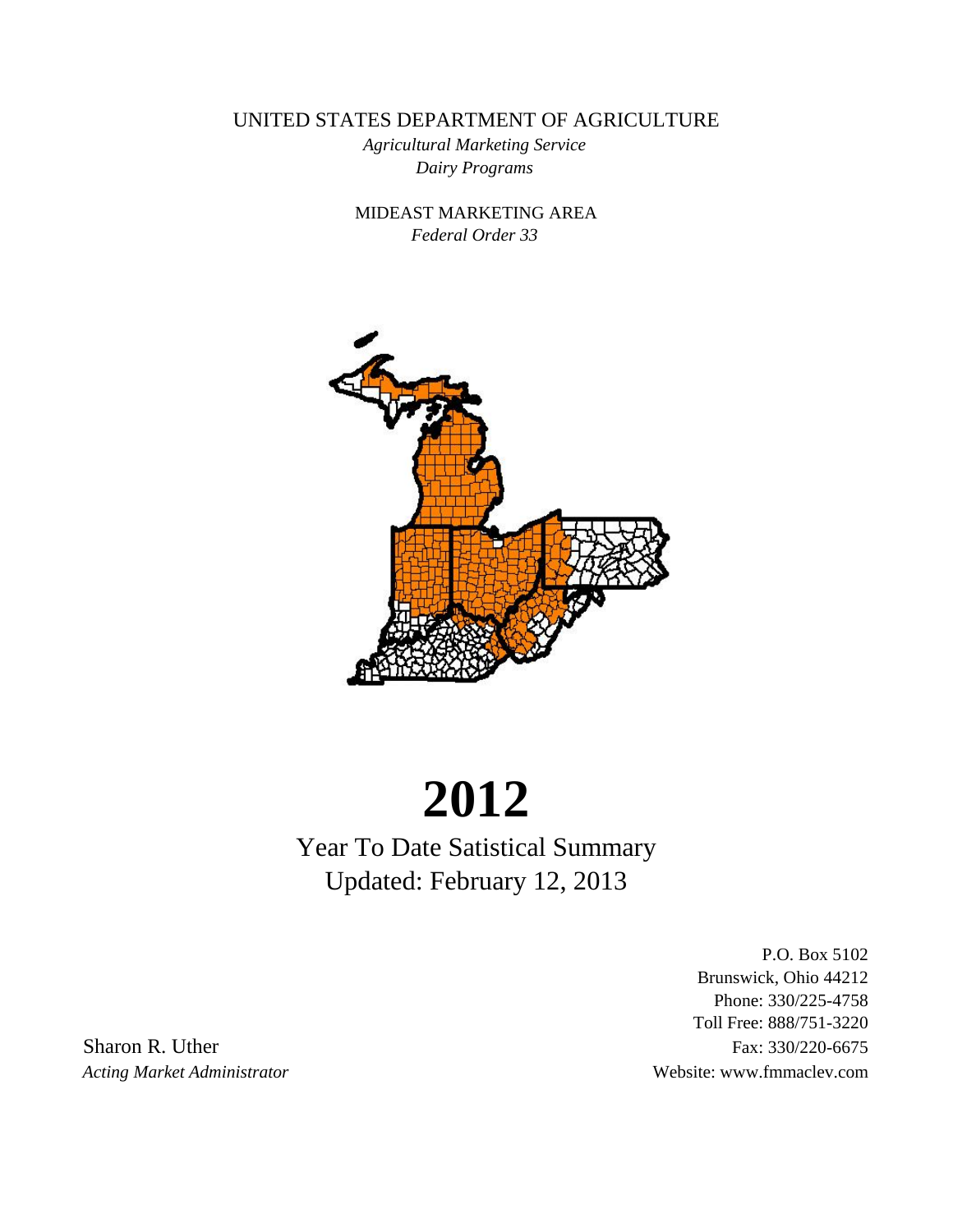UNITED STATES DEPARTMENT OF AGRICULTURE

*Dairy Programs Agricultural Marketing Service*

*Federal Order 33* MIDEAST MARKETING AREA



# **2012**

Year To Date Satistical Summary Updated: February 12, 2013

P.O. Box 5102 Brunswick, Ohio 44212 Phone: 330/225-4758 Toll Free: 888/751-3220 Sharon R. Uther Fax: 330/220-6675

*Acting Market Administrator* Website: www.fmmaclev.com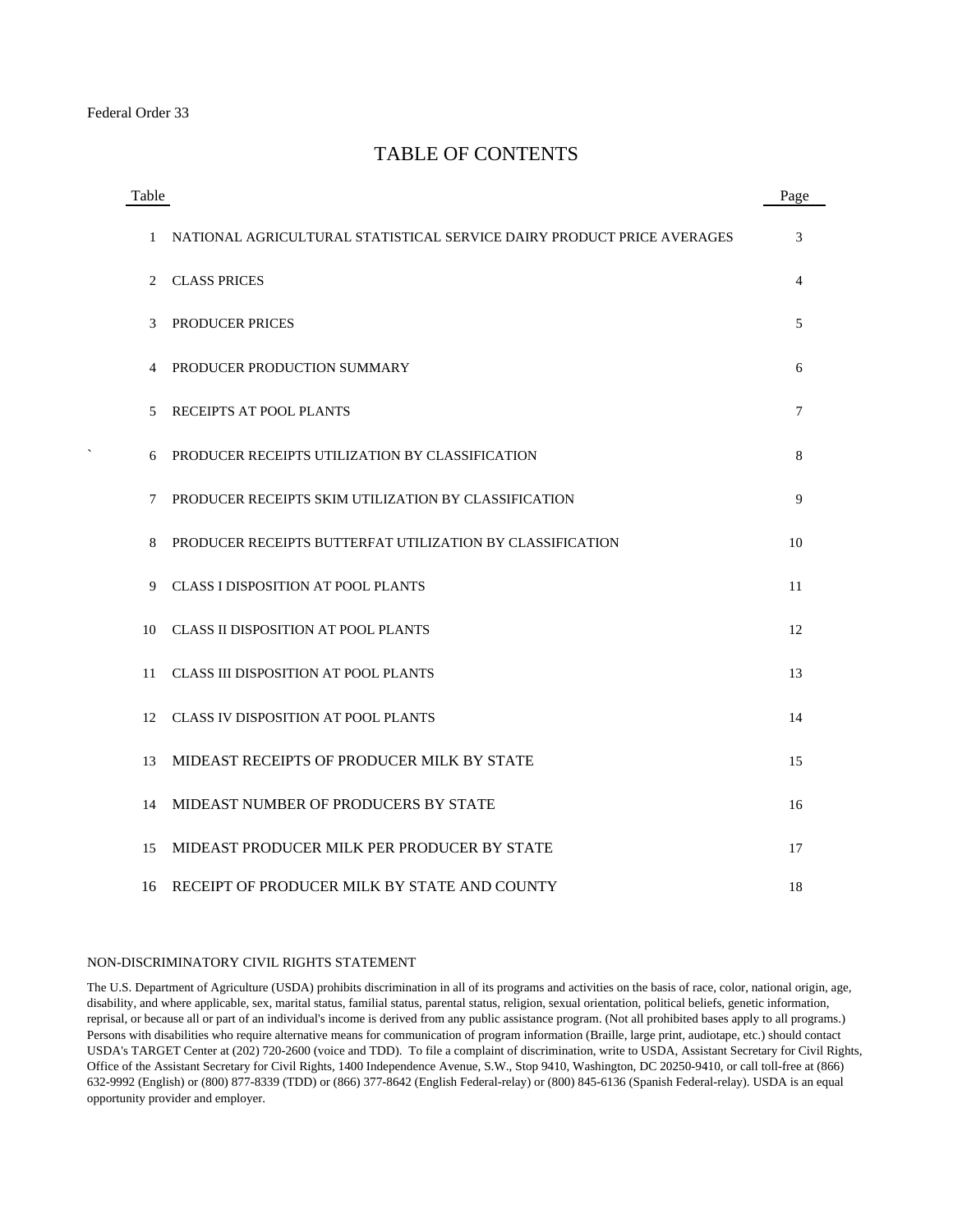# TABLE OF CONTENTS

| Table |                                                                        | Page |
|-------|------------------------------------------------------------------------|------|
| 1     | NATIONAL AGRICULTURAL STATISTICAL SERVICE DAIRY PRODUCT PRICE AVERAGES | 3    |
| 2     | <b>CLASS PRICES</b>                                                    | 4    |
| 3     | <b>PRODUCER PRICES</b>                                                 | 5    |
| 4     | PRODUCER PRODUCTION SUMMARY                                            | 6    |
| 5     | <b>RECEIPTS AT POOL PLANTS</b>                                         | 7    |
| 6     | PRODUCER RECEIPTS UTILIZATION BY CLASSIFICATION                        | 8    |
| 7     | PRODUCER RECEIPTS SKIM UTILIZATION BY CLASSIFICATION                   | 9    |
| 8     | PRODUCER RECEIPTS BUTTERFAT UTILIZATION BY CLASSIFICATION              | 10   |
| 9     | CLASS I DISPOSITION AT POOL PLANTS                                     | 11   |
| 10    | CLASS II DISPOSITION AT POOL PLANTS                                    | 12   |
| 11    | <b>CLASS III DISPOSITION AT POOL PLANTS</b>                            | 13   |
| 12    | <b>CLASS IV DISPOSITION AT POOL PLANTS</b>                             | 14   |
| 13    | MIDEAST RECEIPTS OF PRODUCER MILK BY STATE                             | 15   |
| 14    | MIDEAST NUMBER OF PRODUCERS BY STATE                                   | 16   |
| 15    | MIDEAST PRODUCER MILK PER PRODUCER BY STATE                            | 17   |
| 16    | RECEIPT OF PRODUCER MILK BY STATE AND COUNTY                           | 18   |

#### NON-DISCRIMINATORY CIVIL RIGHTS STATEMENT

The U.S. Department of Agriculture (USDA) prohibits discrimination in all of its programs and activities on the basis of race, color, national origin, age, disability, and where applicable, sex, marital status, familial status, parental status, religion, sexual orientation, political beliefs, genetic information, reprisal, or because all or part of an individual's income is derived from any public assistance program. (Not all prohibited bases apply to all programs.) Persons with disabilities who require alternative means for communication of program information (Braille, large print, audiotape, etc.) should contact USDA's TARGET Center at (202) 720-2600 (voice and TDD). To file a complaint of discrimination, write to USDA, Assistant Secretary for Civil Rights, Office of the Assistant Secretary for Civil Rights, 1400 Independence Avenue, S.W., Stop 9410, Washington, DC 20250-9410, or call toll-free at (866) 632-9992 (English) or (800) 877-8339 (TDD) or (866) 377-8642 (English Federal-relay) or (800) 845-6136 (Spanish Federal-relay). USDA is an equal opportunity provider and employer.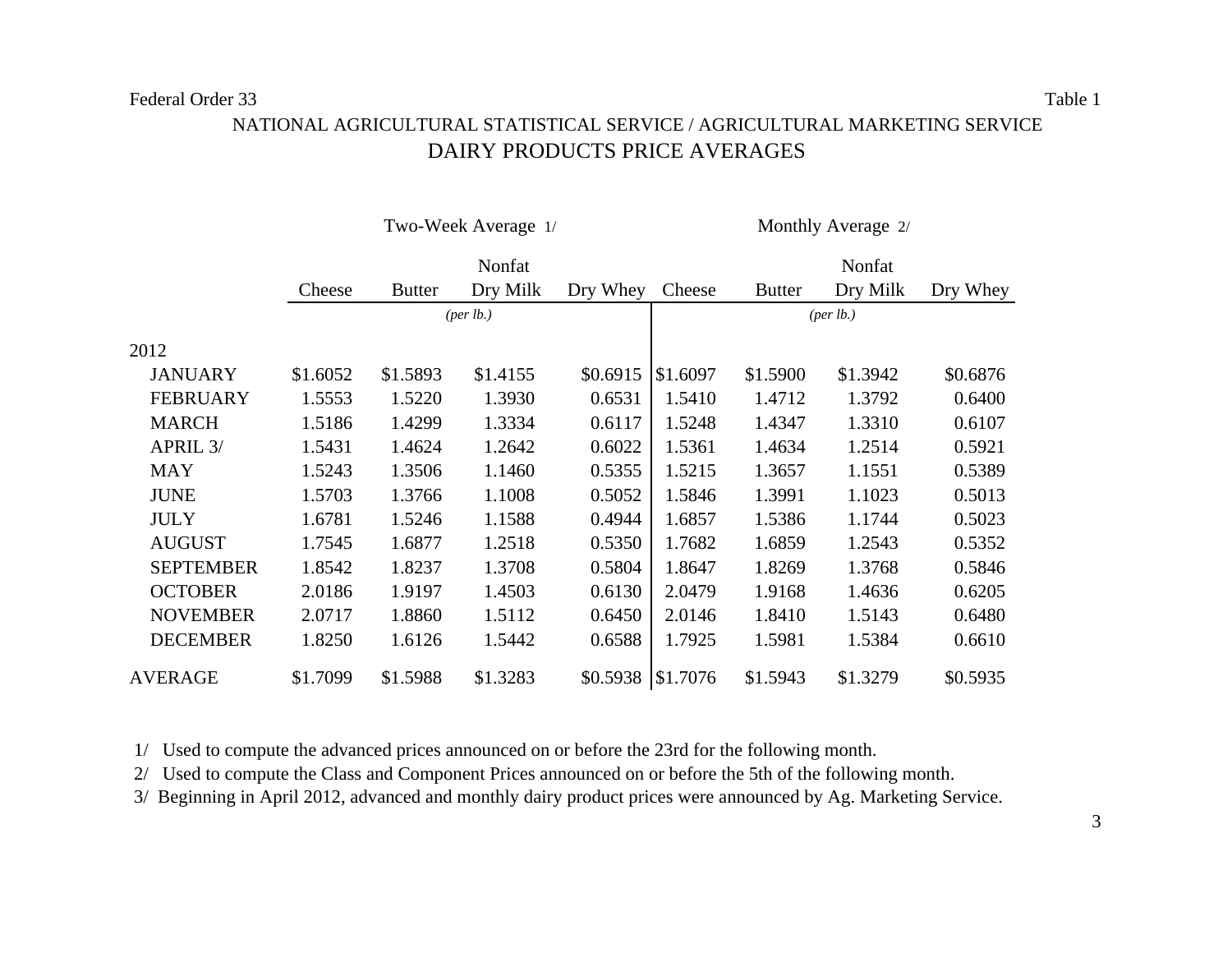# DAIRY PRODUCTS PRICE AVERAGES NATIONAL AGRICULTURAL STATISTICAL SERVICE / AGRICULTURAL MARKETING SERVICE

|                  |          |               | Two-Week Average 1/               |          | Monthly Average 2/ |               |          |          |  |  |
|------------------|----------|---------------|-----------------------------------|----------|--------------------|---------------|----------|----------|--|--|
|                  |          |               | Nonfat                            |          |                    | Nonfat        |          |          |  |  |
|                  | Cheese   | <b>Butter</b> | Dry Milk                          | Dry Whey | Cheese             | <b>Butter</b> | Dry Milk | Dry Whey |  |  |
|                  |          |               | ${\left( \text{per lb.} \right)}$ |          | (per lb.)          |               |          |          |  |  |
| 2012             |          |               |                                   |          |                    |               |          |          |  |  |
| <b>JANUARY</b>   | \$1.6052 | \$1.5893      | \$1.4155                          | \$0.6915 | \$1.6097           | \$1.5900      | \$1.3942 | \$0.6876 |  |  |
| <b>FEBRUARY</b>  | 1.5553   | 1.5220        | 1.3930                            | 0.6531   | 1.5410             | 1.4712        | 1.3792   | 0.6400   |  |  |
| <b>MARCH</b>     | 1.5186   | 1.4299        | 1.3334                            | 0.6117   | 1.5248             | 1.4347        | 1.3310   | 0.6107   |  |  |
| APRIL 3/         | 1.5431   | 1.4624        | 1.2642                            | 0.6022   | 1.5361             | 1.4634        | 1.2514   | 0.5921   |  |  |
| <b>MAY</b>       | 1.5243   | 1.3506        | 1.1460                            | 0.5355   | 1.5215             | 1.3657        | 1.1551   | 0.5389   |  |  |
| <b>JUNE</b>      | 1.5703   | 1.3766        | 1.1008                            | 0.5052   | 1.5846             | 1.3991        | 1.1023   | 0.5013   |  |  |
| <b>JULY</b>      | 1.6781   | 1.5246        | 1.1588                            | 0.4944   | 1.6857             | 1.5386        | 1.1744   | 0.5023   |  |  |
| <b>AUGUST</b>    | 1.7545   | 1.6877        | 1.2518                            | 0.5350   | 1.7682             | 1.6859        | 1.2543   | 0.5352   |  |  |
| <b>SEPTEMBER</b> | 1.8542   | 1.8237        | 1.3708                            | 0.5804   | 1.8647             | 1.8269        | 1.3768   | 0.5846   |  |  |
| <b>OCTOBER</b>   | 2.0186   | 1.9197        | 1.4503                            | 0.6130   | 2.0479             | 1.9168        | 1.4636   | 0.6205   |  |  |
| <b>NOVEMBER</b>  | 2.0717   | 1.8860        | 1.5112                            | 0.6450   | 2.0146             | 1.8410        | 1.5143   | 0.6480   |  |  |
| <b>DECEMBER</b>  | 1.8250   | 1.6126        | 1.5442                            | 0.6588   | 1.7925             | 1.5981        | 1.5384   | 0.6610   |  |  |
| <b>AVERAGE</b>   | \$1.7099 | \$1.5988      | \$1.3283                          | \$0.5938 | \$1.7076           | \$1.5943      | \$1.3279 | \$0.5935 |  |  |

1/ Used to compute the advanced prices announced on or before the 23rd for the following month.

2/ Used to compute the Class and Component Prices announced on or before the 5th of the following month.

3/ Beginning in April 2012, advanced and monthly dairy product prices were announced by Ag. Marketing Service.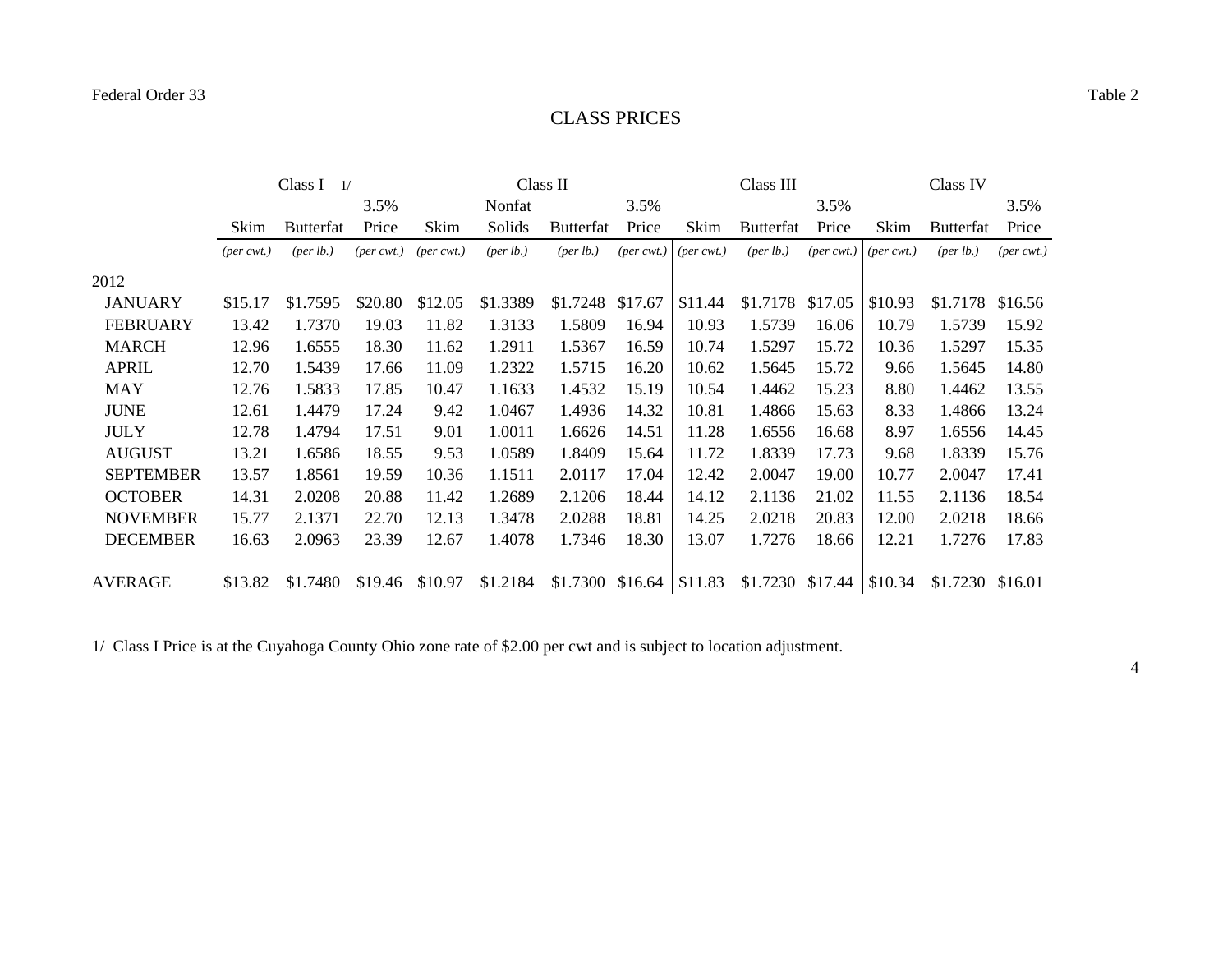## CLASS PRICES

|                  |                             | Class I<br>$\frac{1}{2}$ |                             |                             | Class II             |                             |                             |                             | Class III                   |                                |         | Class IV             |                             |
|------------------|-----------------------------|--------------------------|-----------------------------|-----------------------------|----------------------|-----------------------------|-----------------------------|-----------------------------|-----------------------------|--------------------------------|---------|----------------------|-----------------------------|
|                  |                             |                          | 3.5%                        |                             | Nonfat               |                             | 3.5%                        |                             |                             | 3.5%                           |         |                      | 3.5%                        |
|                  | Skim                        | <b>Butterfat</b>         | Price                       | Skim                        | Solids               | Butterfat                   | Price                       | Skim                        | Butterfat                   | Price                          | Skim    | <b>Butterfat</b>     | Price                       |
|                  | $(\text{per} \text{ cwt.})$ | ${\rm (per \, lb.)}$     | $(\text{per} \text{ cwt.})$ | $(\text{per} \text{ cwt.})$ | ${\rm (per \, lb.)}$ | $(\text{per lb.})$          | $(\text{per} \text{ cwt.})$ | $(\text{per} \text{ cwt.})$ | ${\rm (per \, lb.)}$        | $(per\,\,(per\,c))$ (per cwt.) |         | ${\rm (per \, lb.)}$ | $(\text{per} \text{ cwt.})$ |
| 2012             |                             |                          |                             |                             |                      |                             |                             |                             |                             |                                |         |                      |                             |
| <b>JANUARY</b>   | \$15.17                     | \$1.7595                 | \$20.80                     | \$12.05                     | \$1.3389             | \$1.7248                    | \$17.67                     | \$11.44                     | \$1.7178                    | \$17.05                        | \$10.93 | \$1.7178             | \$16.56                     |
| <b>FEBRUARY</b>  | 13.42                       | 1.7370                   | 19.03                       | 11.82                       | 1.3133               | 1.5809                      | 16.94                       | 10.93                       | 1.5739                      | 16.06                          | 10.79   | 1.5739               | 15.92                       |
| <b>MARCH</b>     | 12.96                       | 1.6555                   | 18.30                       | 11.62                       | 1.2911               | 1.5367                      | 16.59                       | 10.74                       | 1.5297                      | 15.72                          | 10.36   | 1.5297               | 15.35                       |
| <b>APRIL</b>     | 12.70                       | 1.5439                   | 17.66                       | 11.09                       | 1.2322               | 1.5715                      | 16.20                       | 10.62                       | 1.5645                      | 15.72                          | 9.66    | 1.5645               | 14.80                       |
| <b>MAY</b>       | 12.76                       | 1.5833                   | 17.85                       | 10.47                       | 1.1633               | 1.4532                      | 15.19                       | 10.54                       | 1.4462                      | 15.23                          | 8.80    | 1.4462               | 13.55                       |
| <b>JUNE</b>      | 12.61                       | 1.4479                   | 17.24                       | 9.42                        | 1.0467               | 1.4936                      | 14.32                       | 10.81                       | 1.4866                      | 15.63                          | 8.33    | 1.4866               | 13.24                       |
| <b>JULY</b>      | 12.78                       | 1.4794                   | 17.51                       | 9.01                        | 1.0011               | 1.6626                      | 14.51                       | 11.28                       | 1.6556                      | 16.68                          | 8.97    | 1.6556               | 14.45                       |
| <b>AUGUST</b>    | 13.21                       | 1.6586                   | 18.55                       | 9.53                        | 1.0589               | 1.8409                      | 15.64                       | 11.72                       | 1.8339                      | 17.73                          | 9.68    | 1.8339               | 15.76                       |
| <b>SEPTEMBER</b> | 13.57                       | 1.8561                   | 19.59                       | 10.36                       | 1.1511               | 2.0117                      | 17.04                       | 12.42                       | 2.0047                      | 19.00                          | 10.77   | 2.0047               | 17.41                       |
| <b>OCTOBER</b>   | 14.31                       | 2.0208                   | 20.88                       | 11.42                       | 1.2689               | 2.1206                      | 18.44                       | 14.12                       | 2.1136                      | 21.02                          | 11.55   | 2.1136               | 18.54                       |
| <b>NOVEMBER</b>  | 15.77                       | 2.1371                   | 22.70                       | 12.13                       | 1.3478               | 2.0288                      | 18.81                       | 14.25                       | 2.0218                      | 20.83                          | 12.00   | 2.0218               | 18.66                       |
| <b>DECEMBER</b>  | 16.63                       | 2.0963                   | 23.39                       | 12.67                       | 1.4078               | 1.7346                      | 18.30                       | 13.07                       | 1.7276                      | 18.66                          | 12.21   | 1.7276               | 17.83                       |
| AVERAGE          | \$13.82                     | \$1.7480                 | $$19.46$ \ \$10.97          |                             | \$1.2184             | $$1.7300 \t$16.64 \t$11.83$ |                             |                             | $$1.7230$ $$17.44$ $$10.34$ |                                |         | \$1.7230 \$16.01     |                             |

1/ Class I Price is at the Cuyahoga County Ohio zone rate of \$2.00 per cwt and is subject to location adjustment.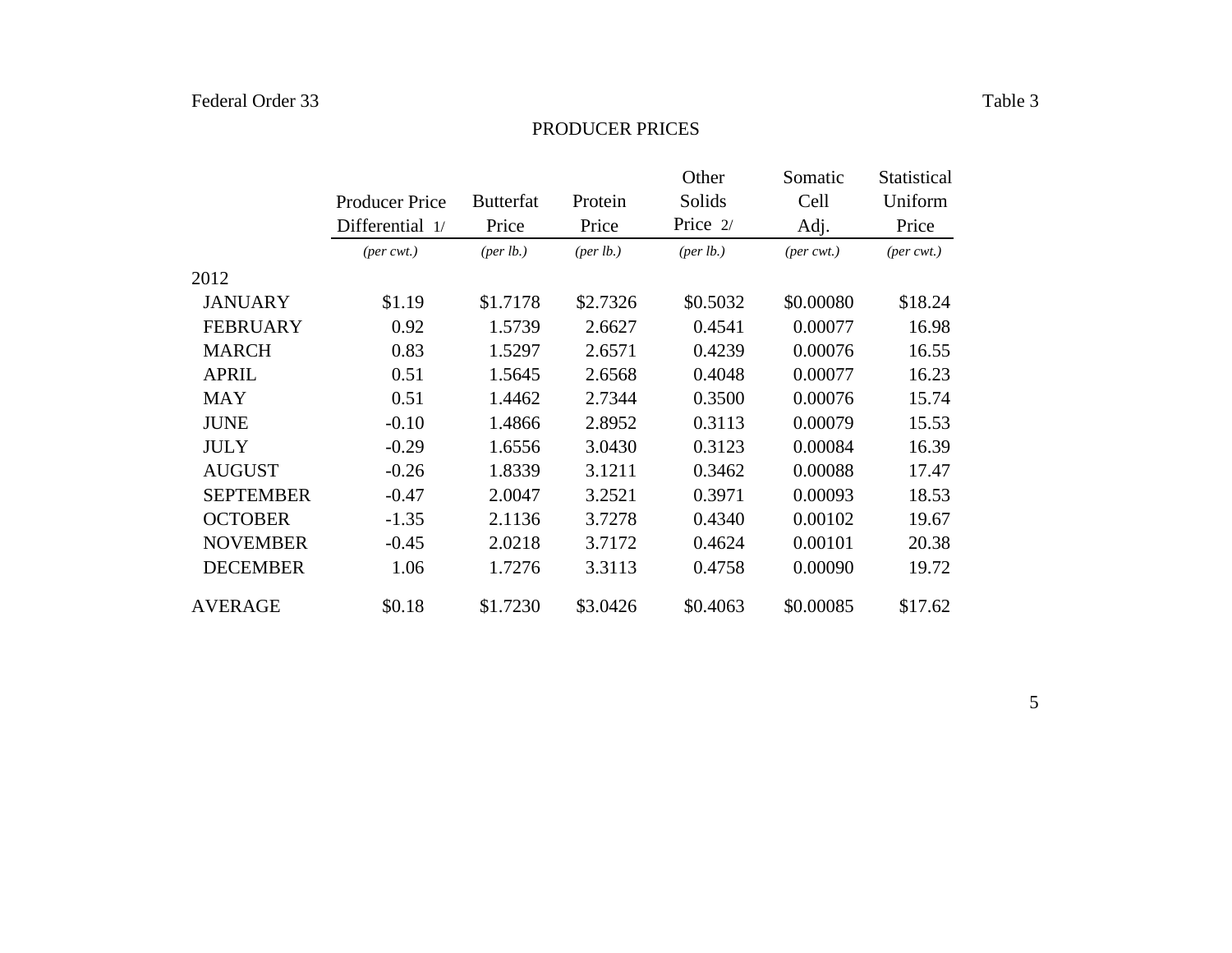#### PRODUCER PRICES

|                  |                             |                      |                      | Other                | Somatic        | Statistical                 |
|------------------|-----------------------------|----------------------|----------------------|----------------------|----------------|-----------------------------|
|                  | <b>Producer Price</b>       | <b>Butterfat</b>     | Protein              | Solids               | Cell           | Uniform                     |
|                  | Differential 1/             | Price                | Price                | Price 2/             | Adj.           | Price                       |
|                  | $(\text{per} \text{ cwt.})$ | ${\rm (per \, lb.)}$ | ${\rm (per \, lb.)}$ | ${\rm (per \, lb.)}$ | $(per\, cwt.)$ | $(\text{per} \text{ cwt.})$ |
| 2012             |                             |                      |                      |                      |                |                             |
| <b>JANUARY</b>   | \$1.19                      | \$1.7178             | \$2.7326             | \$0.5032             | \$0.00080      | \$18.24                     |
| <b>FEBRUARY</b>  | 0.92                        | 1.5739               | 2.6627               | 0.4541               | 0.00077        | 16.98                       |
| <b>MARCH</b>     | 0.83                        | 1.5297               | 2.6571               | 0.4239               | 0.00076        | 16.55                       |
| <b>APRIL</b>     | 0.51                        | 1.5645               | 2.6568               | 0.4048               | 0.00077        | 16.23                       |
| <b>MAY</b>       | 0.51                        | 1.4462               | 2.7344               | 0.3500               | 0.00076        | 15.74                       |
| <b>JUNE</b>      | $-0.10$                     | 1.4866               | 2.8952               | 0.3113               | 0.00079        | 15.53                       |
| <b>JULY</b>      | $-0.29$                     | 1.6556               | 3.0430               | 0.3123               | 0.00084        | 16.39                       |
| <b>AUGUST</b>    | $-0.26$                     | 1.8339               | 3.1211               | 0.3462               | 0.00088        | 17.47                       |
| <b>SEPTEMBER</b> | $-0.47$                     | 2.0047               | 3.2521               | 0.3971               | 0.00093        | 18.53                       |
| <b>OCTOBER</b>   | $-1.35$                     | 2.1136               | 3.7278               | 0.4340               | 0.00102        | 19.67                       |
| <b>NOVEMBER</b>  | $-0.45$                     | 2.0218               | 3.7172               | 0.4624               | 0.00101        | 20.38                       |
| <b>DECEMBER</b>  | 1.06                        | 1.7276               | 3.3113               | 0.4758               | 0.00090        | 19.72                       |
| <b>AVERAGE</b>   | \$0.18                      | \$1.7230             | \$3.0426             | \$0.4063             | \$0.00085      | \$17.62                     |

5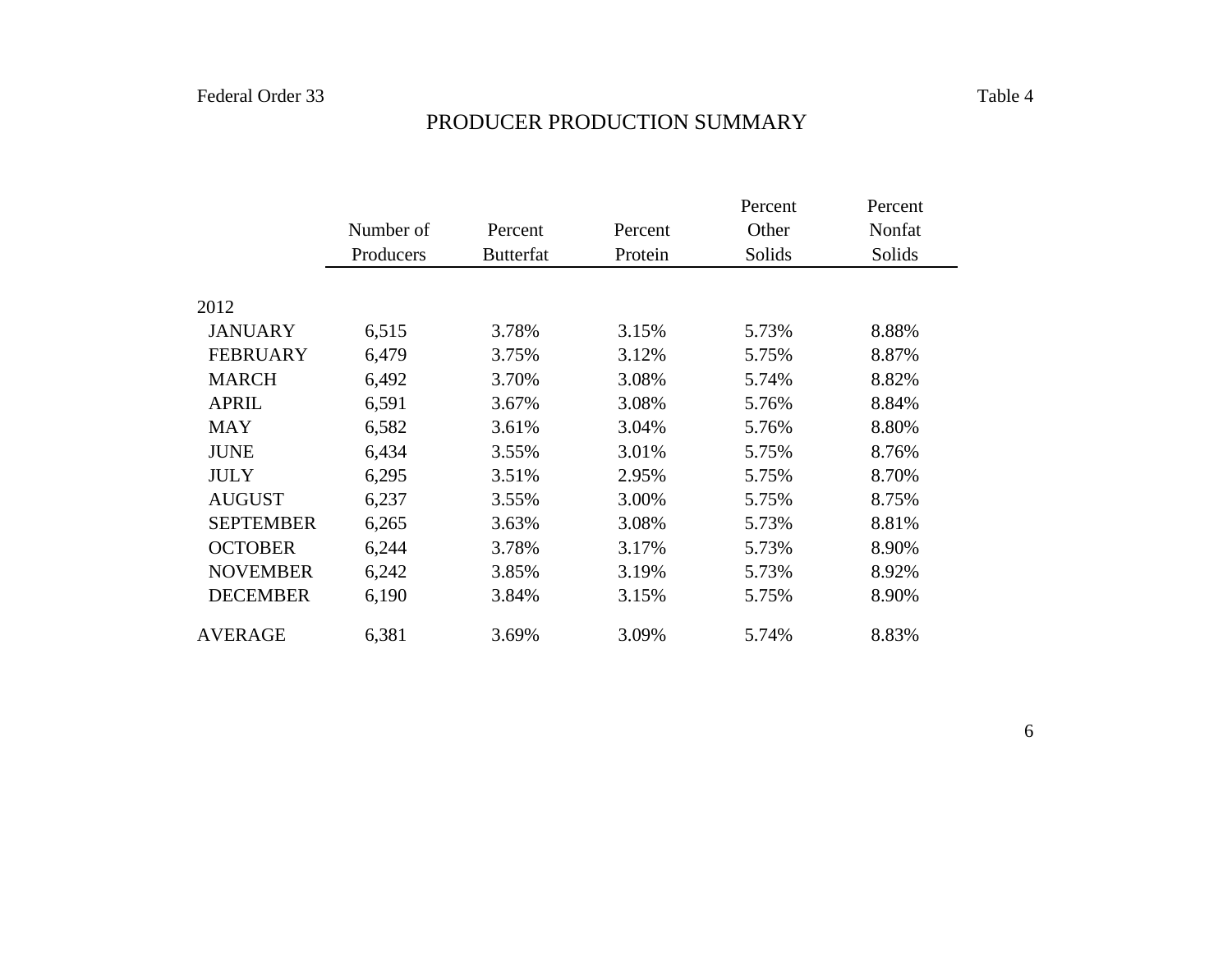|                  |           |                  |         | Percent | Percent |
|------------------|-----------|------------------|---------|---------|---------|
|                  | Number of | Percent          | Percent | Other   | Nonfat  |
|                  | Producers | <b>Butterfat</b> | Protein | Solids  | Solids  |
|                  |           |                  |         |         |         |
| 2012             |           |                  |         |         |         |
| <b>JANUARY</b>   | 6,515     | 3.78%            | 3.15%   | 5.73%   | 8.88%   |
| <b>FEBRUARY</b>  | 6,479     | 3.75%            | 3.12%   | 5.75%   | 8.87%   |
| <b>MARCH</b>     | 6,492     | 3.70%            | 3.08%   | 5.74%   | 8.82%   |
| <b>APRIL</b>     | 6,591     | 3.67%            | 3.08%   | 5.76%   | 8.84%   |
| <b>MAY</b>       | 6,582     | 3.61%            | 3.04%   | 5.76%   | 8.80%   |
| <b>JUNE</b>      | 6,434     | 3.55%            | 3.01%   | 5.75%   | 8.76%   |
| <b>JULY</b>      | 6,295     | 3.51%            | 2.95%   | 5.75%   | 8.70%   |
| <b>AUGUST</b>    | 6,237     | 3.55%            | 3.00%   | 5.75%   | 8.75%   |
| <b>SEPTEMBER</b> | 6,265     | 3.63%            | 3.08%   | 5.73%   | 8.81%   |
| <b>OCTOBER</b>   | 6,244     | 3.78%            | 3.17%   | 5.73%   | 8.90%   |
| <b>NOVEMBER</b>  | 6,242     | 3.85%            | 3.19%   | 5.73%   | 8.92%   |
| <b>DECEMBER</b>  | 6,190     | 3.84%            | 3.15%   | 5.75%   | 8.90%   |
| <b>AVERAGE</b>   | 6,381     | 3.69%            | 3.09%   | 5.74%   | 8.83%   |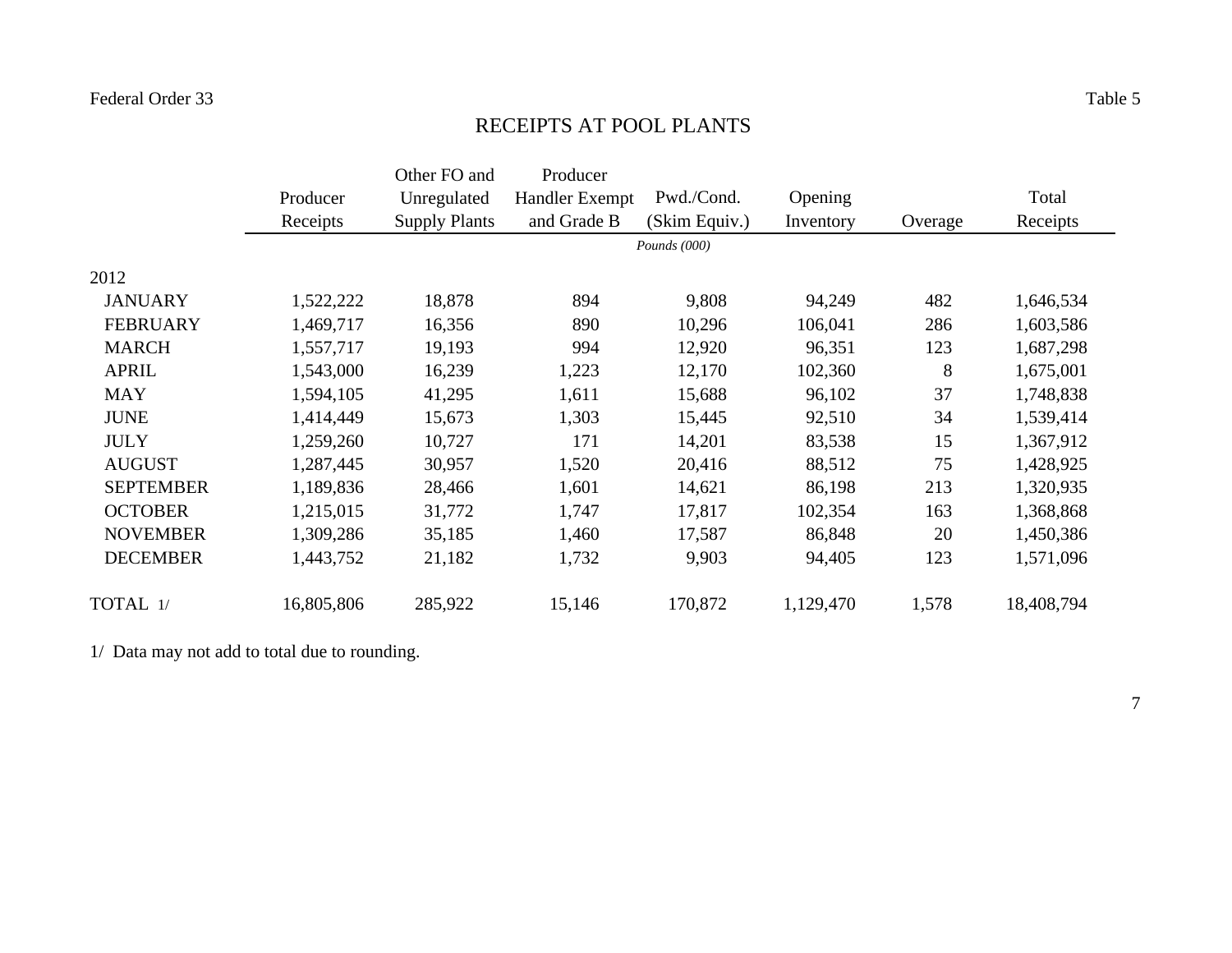# RECEIPTS AT POOL PLANTS

|                  |            | Other FO and         | Producer              |                |           |         |            |
|------------------|------------|----------------------|-----------------------|----------------|-----------|---------|------------|
|                  | Producer   | Unregulated          | <b>Handler Exempt</b> | Pwd./Cond.     | Opening   |         | Total      |
|                  | Receipts   | <b>Supply Plants</b> | and Grade B           | (Skim Equiv.)  | Inventory | Overage | Receipts   |
|                  |            |                      |                       | Pounds $(000)$ |           |         |            |
| 2012             |            |                      |                       |                |           |         |            |
| <b>JANUARY</b>   | 1,522,222  | 18,878               | 894                   | 9,808          | 94,249    | 482     | 1,646,534  |
| <b>FEBRUARY</b>  | 1,469,717  | 16,356               | 890                   | 10,296         | 106,041   | 286     | 1,603,586  |
| <b>MARCH</b>     | 1,557,717  | 19,193               | 994                   | 12,920         | 96,351    | 123     | 1,687,298  |
| <b>APRIL</b>     | 1,543,000  | 16,239               | 1,223                 | 12,170         | 102,360   | 8       | 1,675,001  |
| <b>MAY</b>       | 1,594,105  | 41,295               | 1,611                 | 15,688         | 96,102    | 37      | 1,748,838  |
| <b>JUNE</b>      | 1,414,449  | 15,673               | 1,303                 | 15,445         | 92,510    | 34      | 1,539,414  |
| <b>JULY</b>      | 1,259,260  | 10,727               | 171                   | 14,201         | 83,538    | 15      | 1,367,912  |
| <b>AUGUST</b>    | 1,287,445  | 30,957               | 1,520                 | 20,416         | 88,512    | 75      | 1,428,925  |
| <b>SEPTEMBER</b> | 1,189,836  | 28,466               | 1,601                 | 14,621         | 86,198    | 213     | 1,320,935  |
| <b>OCTOBER</b>   | 1,215,015  | 31,772               | 1,747                 | 17,817         | 102,354   | 163     | 1,368,868  |
| <b>NOVEMBER</b>  | 1,309,286  | 35,185               | 1,460                 | 17,587         | 86,848    | 20      | 1,450,386  |
| <b>DECEMBER</b>  | 1,443,752  | 21,182               | 1,732                 | 9,903          | 94,405    | 123     | 1,571,096  |
| TOTAL 1/         | 16,805,806 | 285,922              | 15,146                | 170,872        | 1,129,470 | 1,578   | 18,408,794 |

1/ Data may not add to total due to rounding.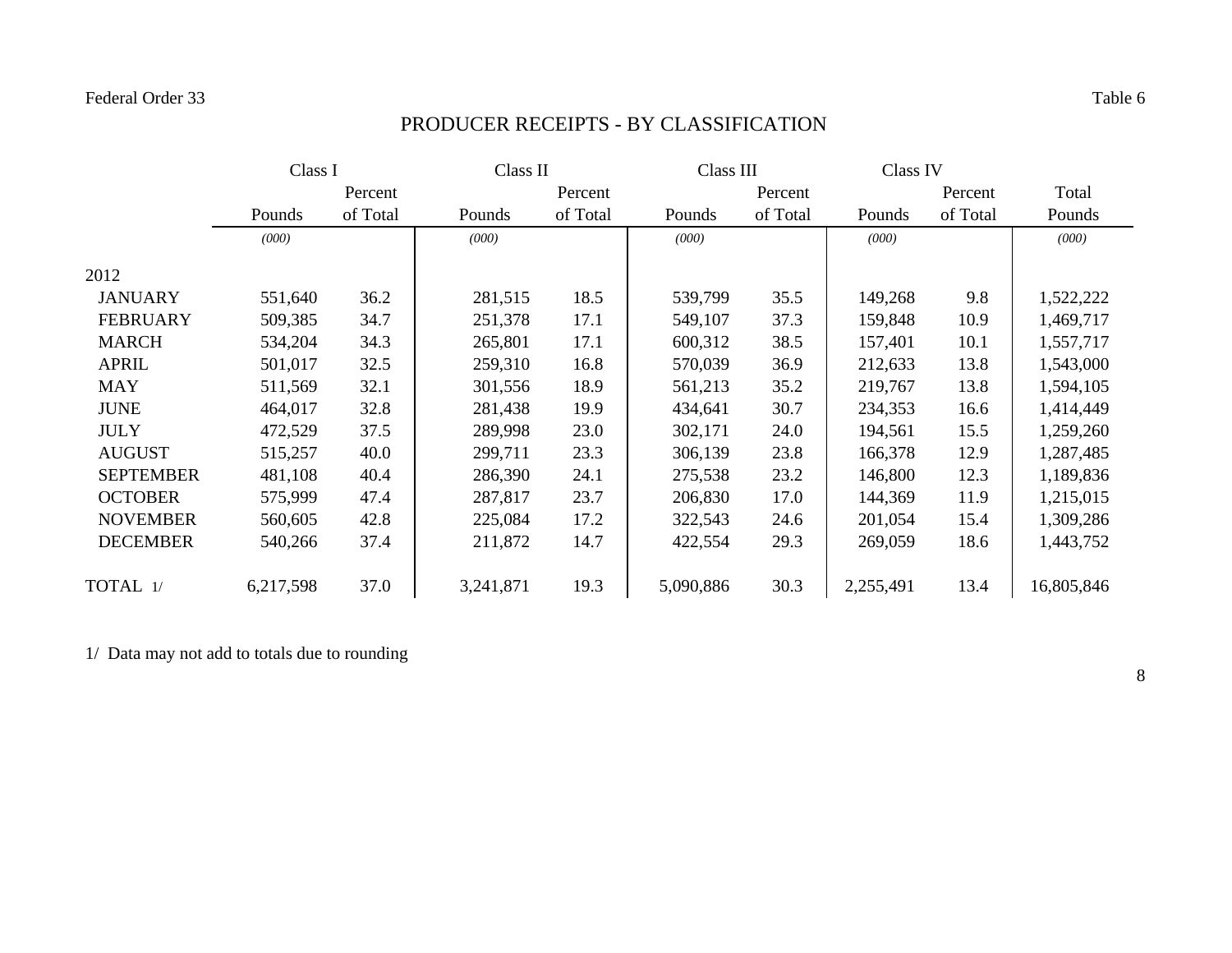# PRODUCER RECEIPTS - BY CLASSIFICATION

|                  | Class I   |          | Class II  |          | Class III |          | Class IV  |          |            |
|------------------|-----------|----------|-----------|----------|-----------|----------|-----------|----------|------------|
|                  |           | Percent  |           | Percent  |           | Percent  |           | Percent  | Total      |
|                  | Pounds    | of Total | Pounds    | of Total | Pounds    | of Total | Pounds    | of Total | Pounds     |
|                  | (000)     |          | (000)     |          | (000)     |          | (000)     |          | (000)      |
| 2012             |           |          |           |          |           |          |           |          |            |
| <b>JANUARY</b>   | 551,640   | 36.2     | 281,515   | 18.5     | 539,799   | 35.5     | 149,268   | 9.8      | 1,522,222  |
| <b>FEBRUARY</b>  | 509,385   | 34.7     | 251,378   | 17.1     | 549,107   | 37.3     | 159,848   | 10.9     | 1,469,717  |
| <b>MARCH</b>     | 534,204   | 34.3     | 265,801   | 17.1     | 600,312   | 38.5     | 157,401   | 10.1     | 1,557,717  |
| <b>APRIL</b>     | 501,017   | 32.5     | 259,310   | 16.8     | 570,039   | 36.9     | 212,633   | 13.8     | 1,543,000  |
| MAY              | 511,569   | 32.1     | 301,556   | 18.9     | 561,213   | 35.2     | 219,767   | 13.8     | 1,594,105  |
| <b>JUNE</b>      | 464,017   | 32.8     | 281,438   | 19.9     | 434,641   | 30.7     | 234,353   | 16.6     | 1,414,449  |
| <b>JULY</b>      | 472,529   | 37.5     | 289,998   | 23.0     | 302,171   | 24.0     | 194,561   | 15.5     | 1,259,260  |
| <b>AUGUST</b>    | 515,257   | 40.0     | 299,711   | 23.3     | 306,139   | 23.8     | 166,378   | 12.9     | 1,287,485  |
| <b>SEPTEMBER</b> | 481,108   | 40.4     | 286,390   | 24.1     | 275,538   | 23.2     | 146,800   | 12.3     | 1,189,836  |
| <b>OCTOBER</b>   | 575,999   | 47.4     | 287,817   | 23.7     | 206,830   | 17.0     | 144,369   | 11.9     | 1,215,015  |
| <b>NOVEMBER</b>  | 560,605   | 42.8     | 225,084   | 17.2     | 322,543   | 24.6     | 201,054   | 15.4     | 1,309,286  |
| <b>DECEMBER</b>  | 540,266   | 37.4     | 211,872   | 14.7     | 422,554   | 29.3     | 269,059   | 18.6     | 1,443,752  |
| TOTAL 1/         | 6,217,598 | 37.0     | 3,241,871 | 19.3     | 5,090,886 | 30.3     | 2,255,491 | 13.4     | 16,805,846 |

1/ Data may not add to totals due to rounding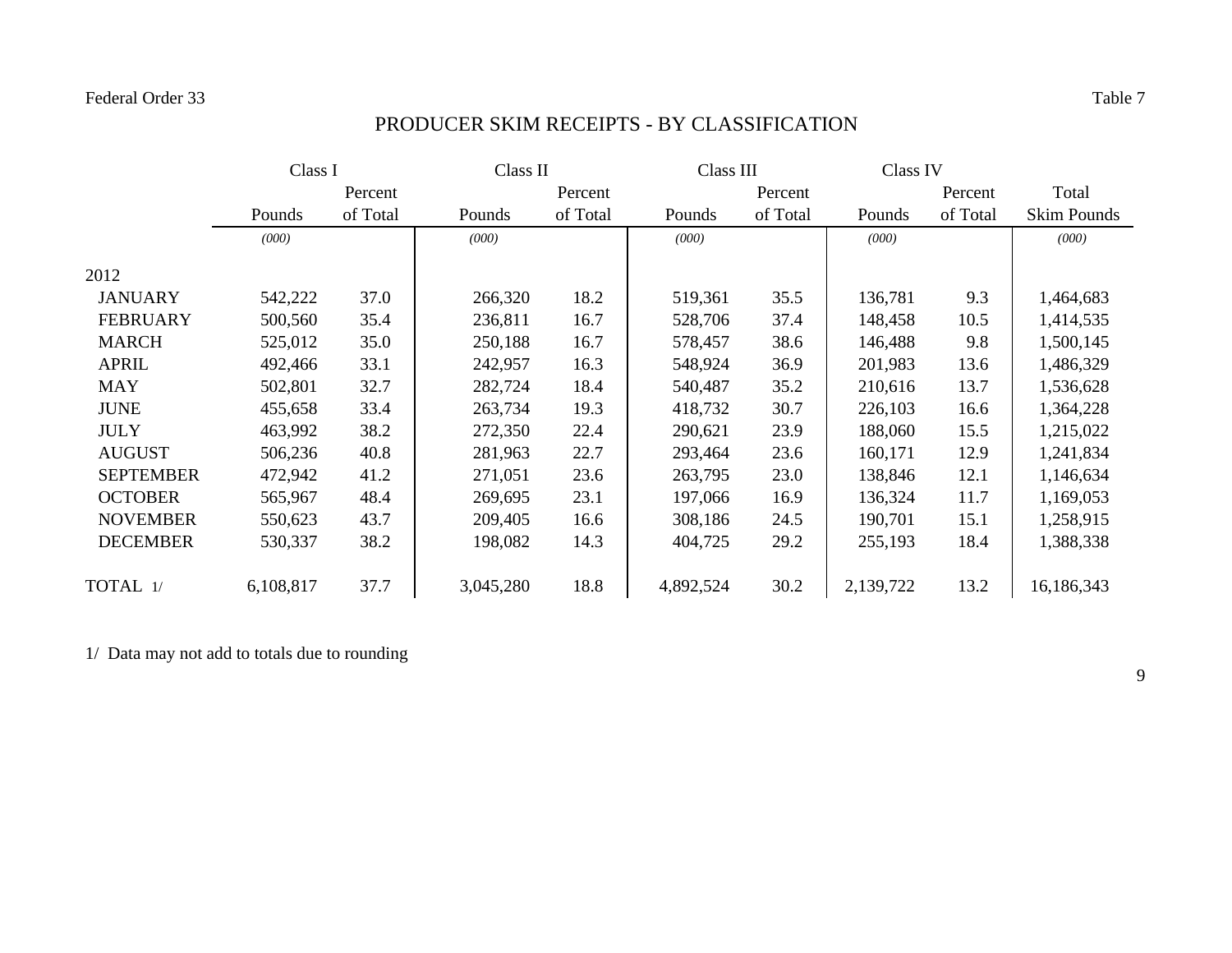# PRODUCER SKIM RECEIPTS - BY CLASSIFICATION

|                  | Class I   |          |           | Class II |           | Class III |           | Class IV |                    |
|------------------|-----------|----------|-----------|----------|-----------|-----------|-----------|----------|--------------------|
|                  |           | Percent  |           | Percent  |           | Percent   |           | Percent  | Total              |
|                  | Pounds    | of Total | Pounds    | of Total | Pounds    | of Total  | Pounds    | of Total | <b>Skim Pounds</b> |
|                  | (000)     |          | (000)     |          | (000)     |           | (000)     |          | (000)              |
| 2012             |           |          |           |          |           |           |           |          |                    |
| <b>JANUARY</b>   | 542,222   | 37.0     | 266,320   | 18.2     | 519,361   | 35.5      | 136,781   | 9.3      | 1,464,683          |
| <b>FEBRUARY</b>  | 500,560   | 35.4     | 236,811   | 16.7     | 528,706   | 37.4      | 148,458   | 10.5     | 1,414,535          |
| <b>MARCH</b>     | 525,012   | 35.0     | 250,188   | 16.7     | 578,457   | 38.6      | 146,488   | 9.8      | 1,500,145          |
| <b>APRIL</b>     | 492,466   | 33.1     | 242,957   | 16.3     | 548,924   | 36.9      | 201,983   | 13.6     | 1,486,329          |
| <b>MAY</b>       | 502,801   | 32.7     | 282,724   | 18.4     | 540,487   | 35.2      | 210,616   | 13.7     | 1,536,628          |
| <b>JUNE</b>      | 455,658   | 33.4     | 263,734   | 19.3     | 418,732   | 30.7      | 226,103   | 16.6     | 1,364,228          |
| <b>JULY</b>      | 463,992   | 38.2     | 272,350   | 22.4     | 290,621   | 23.9      | 188,060   | 15.5     | 1,215,022          |
| <b>AUGUST</b>    | 506,236   | 40.8     | 281,963   | 22.7     | 293,464   | 23.6      | 160,171   | 12.9     | 1,241,834          |
| <b>SEPTEMBER</b> | 472,942   | 41.2     | 271,051   | 23.6     | 263,795   | 23.0      | 138,846   | 12.1     | 1,146,634          |
| <b>OCTOBER</b>   | 565,967   | 48.4     | 269,695   | 23.1     | 197,066   | 16.9      | 136,324   | 11.7     | 1,169,053          |
| <b>NOVEMBER</b>  | 550,623   | 43.7     | 209,405   | 16.6     | 308,186   | 24.5      | 190,701   | 15.1     | 1,258,915          |
| <b>DECEMBER</b>  | 530,337   | 38.2     | 198,082   | 14.3     | 404,725   | 29.2      | 255,193   | 18.4     | 1,388,338          |
| TOTAL 1/         | 6,108,817 | 37.7     | 3,045,280 | 18.8     | 4,892,524 | 30.2      | 2,139,722 | 13.2     | 16,186,343         |

1/ Data may not add to totals due to rounding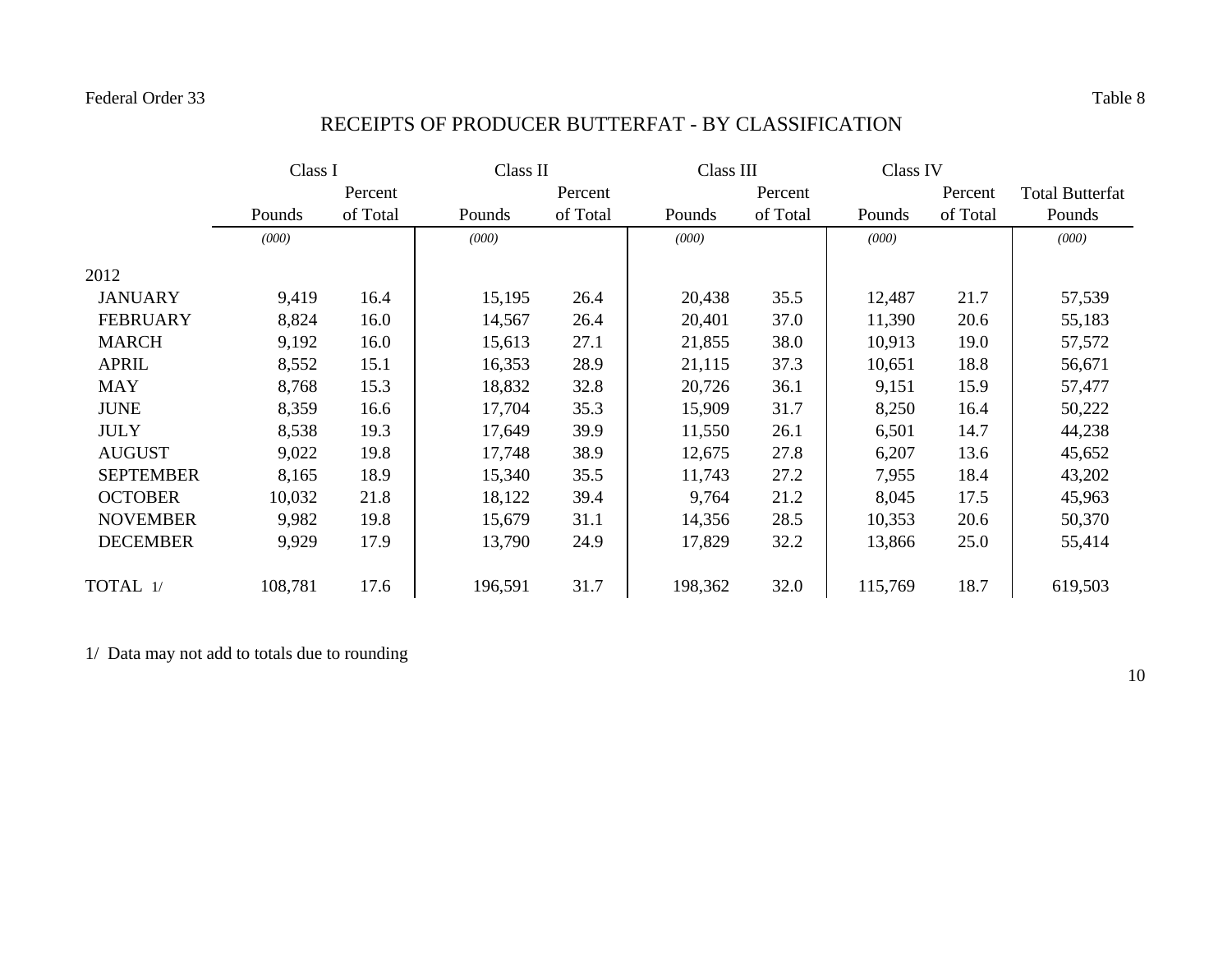# RECEIPTS OF PRODUCER BUTTERFAT - BY CLASSIFICATION

|                  |         | Class I  |         | Class II |         | Class III |         | Class IV |                        |
|------------------|---------|----------|---------|----------|---------|-----------|---------|----------|------------------------|
|                  |         | Percent  |         | Percent  |         | Percent   |         | Percent  | <b>Total Butterfat</b> |
|                  | Pounds  | of Total | Pounds  | of Total | Pounds  | of Total  | Pounds  | of Total | Pounds                 |
|                  | (000)   |          | (000)   |          | (000)   |           | (000)   |          | (000)                  |
| 2012             |         |          |         |          |         |           |         |          |                        |
| <b>JANUARY</b>   | 9,419   | 16.4     | 15,195  | 26.4     | 20,438  | 35.5      | 12,487  | 21.7     | 57,539                 |
| <b>FEBRUARY</b>  | 8,824   | 16.0     | 14,567  | 26.4     | 20,401  | 37.0      | 11,390  | 20.6     | 55,183                 |
| <b>MARCH</b>     | 9,192   | 16.0     | 15,613  | 27.1     | 21,855  | 38.0      | 10,913  | 19.0     | 57,572                 |
| <b>APRIL</b>     | 8,552   | 15.1     | 16,353  | 28.9     | 21,115  | 37.3      | 10,651  | 18.8     | 56,671                 |
| <b>MAY</b>       | 8,768   | 15.3     | 18,832  | 32.8     | 20,726  | 36.1      | 9,151   | 15.9     | 57,477                 |
| <b>JUNE</b>      | 8,359   | 16.6     | 17,704  | 35.3     | 15,909  | 31.7      | 8,250   | 16.4     | 50,222                 |
| <b>JULY</b>      | 8,538   | 19.3     | 17,649  | 39.9     | 11,550  | 26.1      | 6,501   | 14.7     | 44,238                 |
| <b>AUGUST</b>    | 9,022   | 19.8     | 17,748  | 38.9     | 12,675  | 27.8      | 6,207   | 13.6     | 45,652                 |
| <b>SEPTEMBER</b> | 8,165   | 18.9     | 15,340  | 35.5     | 11,743  | 27.2      | 7,955   | 18.4     | 43,202                 |
| <b>OCTOBER</b>   | 10,032  | 21.8     | 18,122  | 39.4     | 9,764   | 21.2      | 8,045   | 17.5     | 45,963                 |
| <b>NOVEMBER</b>  | 9,982   | 19.8     | 15,679  | 31.1     | 14,356  | 28.5      | 10,353  | 20.6     | 50,370                 |
| <b>DECEMBER</b>  | 9,929   | 17.9     | 13,790  | 24.9     | 17,829  | 32.2      | 13,866  | 25.0     | 55,414                 |
| TOTAL 1/         | 108,781 | 17.6     | 196,591 | 31.7     | 198,362 | 32.0      | 115,769 | 18.7     | 619,503                |

1/ Data may not add to totals due to rounding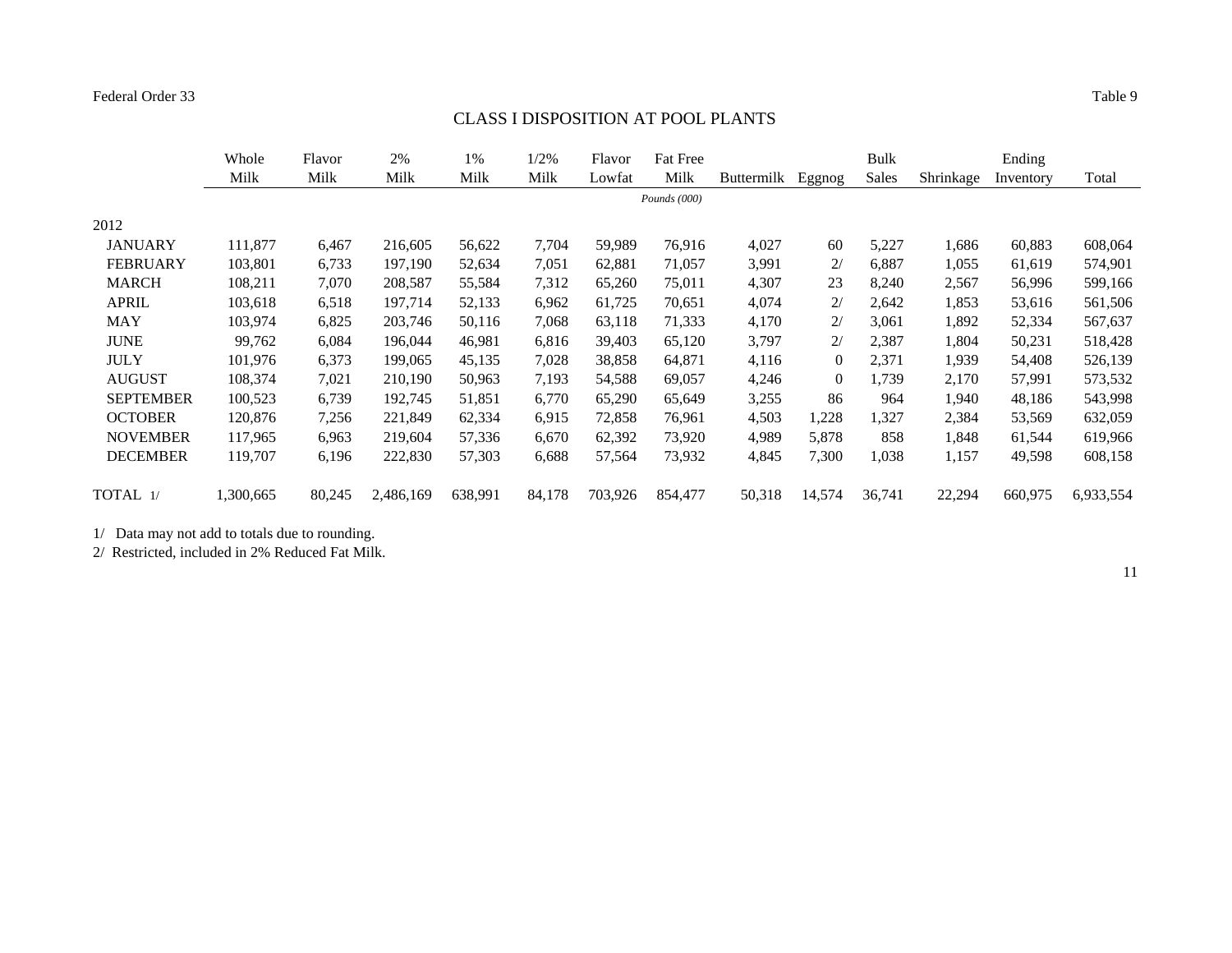#### CLASS I DISPOSITION AT POOL PLANTS

|                  | Whole<br>Milk | Flavor<br>Milk | 2%<br>Milk | 1%<br>Milk | 1/2%<br>Milk | Flavor<br>Lowfat | <b>Fat Free</b><br>Milk | <b>Buttermilk</b> | Eggnog   | Bulk<br><b>Sales</b> | Shrinkage | Ending<br>Inventory | Total     |
|------------------|---------------|----------------|------------|------------|--------------|------------------|-------------------------|-------------------|----------|----------------------|-----------|---------------------|-----------|
|                  |               |                |            |            |              |                  | Pounds $(000)$          |                   |          |                      |           |                     |           |
| 2012             |               |                |            |            |              |                  |                         |                   |          |                      |           |                     |           |
| <b>JANUARY</b>   | 111,877       | 6,467          | 216,605    | 56,622     | 7,704        | 59,989           | 76.916                  | 4,027             | 60       | 5,227                | 1,686     | 60,883              | 608,064   |
| <b>FEBRUARY</b>  | 103,801       | 6,733          | 197,190    | 52,634     | 7,051        | 62,881           | 71.057                  | 3,991             | 2/       | 6,887                | 1,055     | 61,619              | 574,901   |
| <b>MARCH</b>     | 108,211       | 7,070          | 208,587    | 55,584     | 7,312        | 65,260           | 75,011                  | 4,307             | 23       | 8,240                | 2,567     | 56,996              | 599,166   |
| <b>APRIL</b>     | 103,618       | 6,518          | 197,714    | 52,133     | 6,962        | 61,725           | 70,651                  | 4,074             | 2/       | 2,642                | 1,853     | 53,616              | 561,506   |
| <b>MAY</b>       | 103,974       | 6,825          | 203,746    | 50,116     | 7,068        | 63,118           | 71,333                  | 4,170             | 2/       | 3,061                | 1,892     | 52,334              | 567,637   |
| <b>JUNE</b>      | 99,762        | 6,084          | 196,044    | 46,981     | 6,816        | 39,403           | 65,120                  | 3,797             | 2/       | 2,387                | 1,804     | 50,231              | 518,428   |
| <b>JULY</b>      | 101,976       | 6,373          | 199,065    | 45,135     | 7,028        | 38,858           | 64,871                  | 4,116             | $\Omega$ | 2,371                | 1,939     | 54,408              | 526,139   |
| <b>AUGUST</b>    | 108,374       | 7,021          | 210,190    | 50,963     | 7,193        | 54,588           | 69,057                  | 4,246             | $\theta$ | 1,739                | 2,170     | 57,991              | 573,532   |
| <b>SEPTEMBER</b> | 100,523       | 6,739          | 192,745    | 51,851     | 6,770        | 65,290           | 65,649                  | 3,255             | 86       | 964                  | 1,940     | 48,186              | 543,998   |
| <b>OCTOBER</b>   | 120,876       | 7,256          | 221,849    | 62,334     | 6,915        | 72,858           | 76,961                  | 4,503             | 1,228    | 1,327                | 2,384     | 53,569              | 632,059   |
| <b>NOVEMBER</b>  | 117,965       | 6,963          | 219,604    | 57,336     | 6,670        | 62,392           | 73.920                  | 4,989             | 5,878    | 858                  | 1,848     | 61,544              | 619,966   |
| <b>DECEMBER</b>  | 119,707       | 6,196          | 222,830    | 57,303     | 6,688        | 57,564           | 73,932                  | 4,845             | 7,300    | 1,038                | 1,157     | 49,598              | 608,158   |
| TOTAL 1/         | 1,300,665     | 80,245         | 2,486,169  | 638,991    | 84,178       | 703,926          | 854,477                 | 50,318            | 14,574   | 36,741               | 22,294    | 660,975             | 6,933,554 |

1/ Data may not add to totals due to rounding.

2/ Restricted, included in 2% Reduced Fat Milk.

11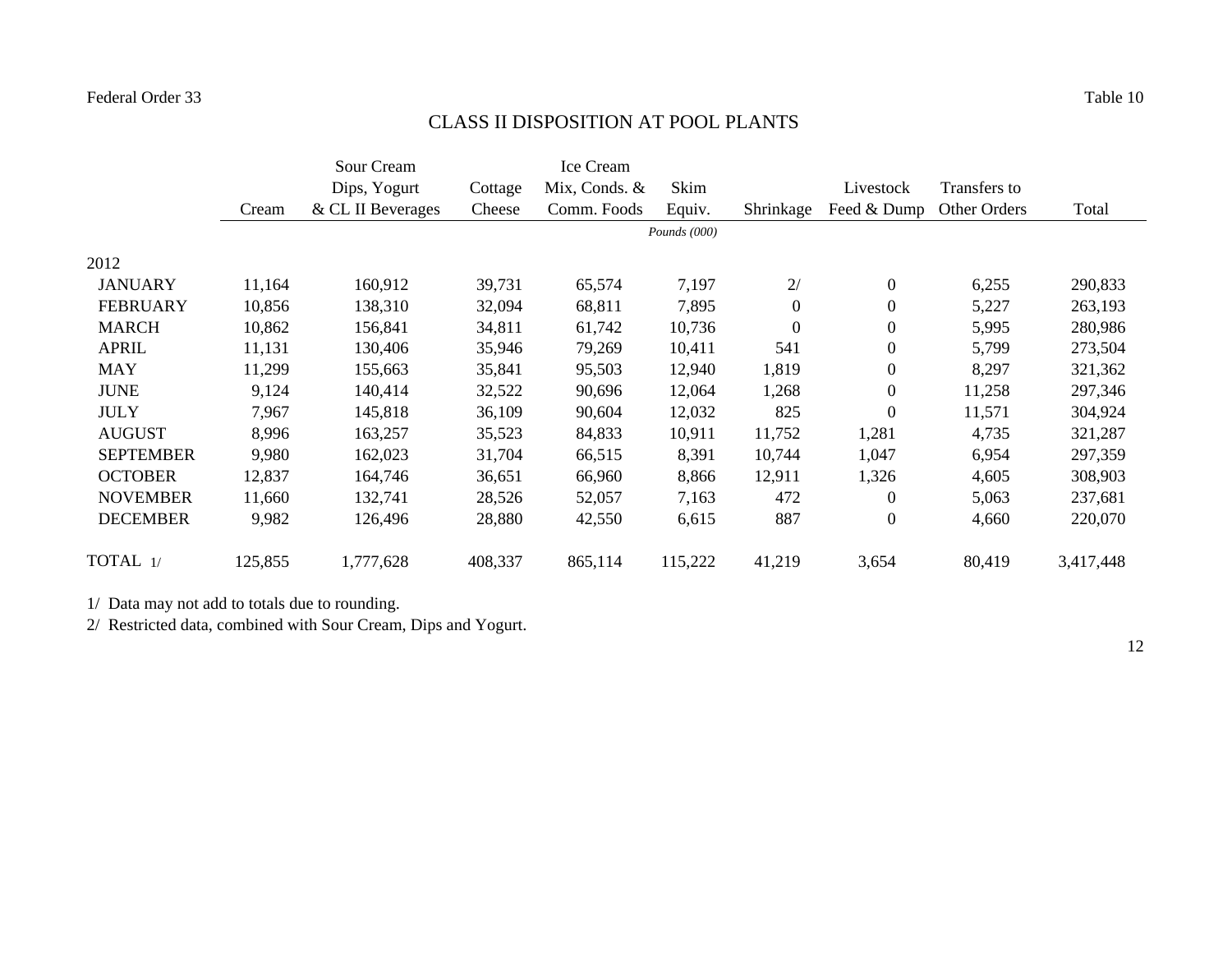# CLASS II DISPOSITION AT POOL PLANTS

|                  |         | Sour Cream        |         | Ice Cream     |                |                  |                  |              |           |
|------------------|---------|-------------------|---------|---------------|----------------|------------------|------------------|--------------|-----------|
|                  |         | Dips, Yogurt      | Cottage | Mix, Conds. & | Skim           |                  | Livestock        | Transfers to |           |
|                  | Cream   | & CL II Beverages | Cheese  | Comm. Foods   | Equiv.         | Shrinkage        | Feed & Dump      | Other Orders | Total     |
|                  |         |                   |         |               | Pounds $(000)$ |                  |                  |              |           |
| 2012             |         |                   |         |               |                |                  |                  |              |           |
| <b>JANUARY</b>   | 11,164  | 160,912           | 39,731  | 65,574        | 7,197          | 2/               | $\mathbf{0}$     | 6,255        | 290,833   |
| <b>FEBRUARY</b>  | 10,856  | 138,310           | 32,094  | 68,811        | 7,895          | $\boldsymbol{0}$ | $\boldsymbol{0}$ | 5,227        | 263,193   |
| <b>MARCH</b>     | 10,862  | 156,841           | 34,811  | 61,742        | 10,736         | $\overline{0}$   | $\boldsymbol{0}$ | 5,995        | 280,986   |
| <b>APRIL</b>     | 11,131  | 130,406           | 35,946  | 79,269        | 10,411         | 541              | $\boldsymbol{0}$ | 5,799        | 273,504   |
| <b>MAY</b>       | 11,299  | 155,663           | 35,841  | 95,503        | 12,940         | 1,819            | $\boldsymbol{0}$ | 8,297        | 321,362   |
| <b>JUNE</b>      | 9,124   | 140,414           | 32,522  | 90,696        | 12,064         | 1,268            | $\boldsymbol{0}$ | 11,258       | 297,346   |
| <b>JULY</b>      | 7,967   | 145,818           | 36,109  | 90,604        | 12,032         | 825              | $\overline{0}$   | 11,571       | 304,924   |
| <b>AUGUST</b>    | 8,996   | 163,257           | 35,523  | 84,833        | 10,911         | 11,752           | 1,281            | 4,735        | 321,287   |
| <b>SEPTEMBER</b> | 9,980   | 162,023           | 31,704  | 66,515        | 8,391          | 10,744           | 1,047            | 6,954        | 297,359   |
| <b>OCTOBER</b>   | 12,837  | 164,746           | 36,651  | 66,960        | 8,866          | 12,911           | 1,326            | 4,605        | 308,903   |
| <b>NOVEMBER</b>  | 11,660  | 132,741           | 28,526  | 52,057        | 7,163          | 472              | $\overline{0}$   | 5,063        | 237,681   |
| <b>DECEMBER</b>  | 9,982   | 126,496           | 28,880  | 42,550        | 6,615          | 887              | $\boldsymbol{0}$ | 4,660        | 220,070   |
| TOTAL 1/         | 125,855 | 1,777,628         | 408,337 | 865,114       | 115,222        | 41,219           | 3,654            | 80,419       | 3,417,448 |

1/ Data may not add to totals due to rounding.

2/ Restricted data, combined with Sour Cream, Dips and Yogurt.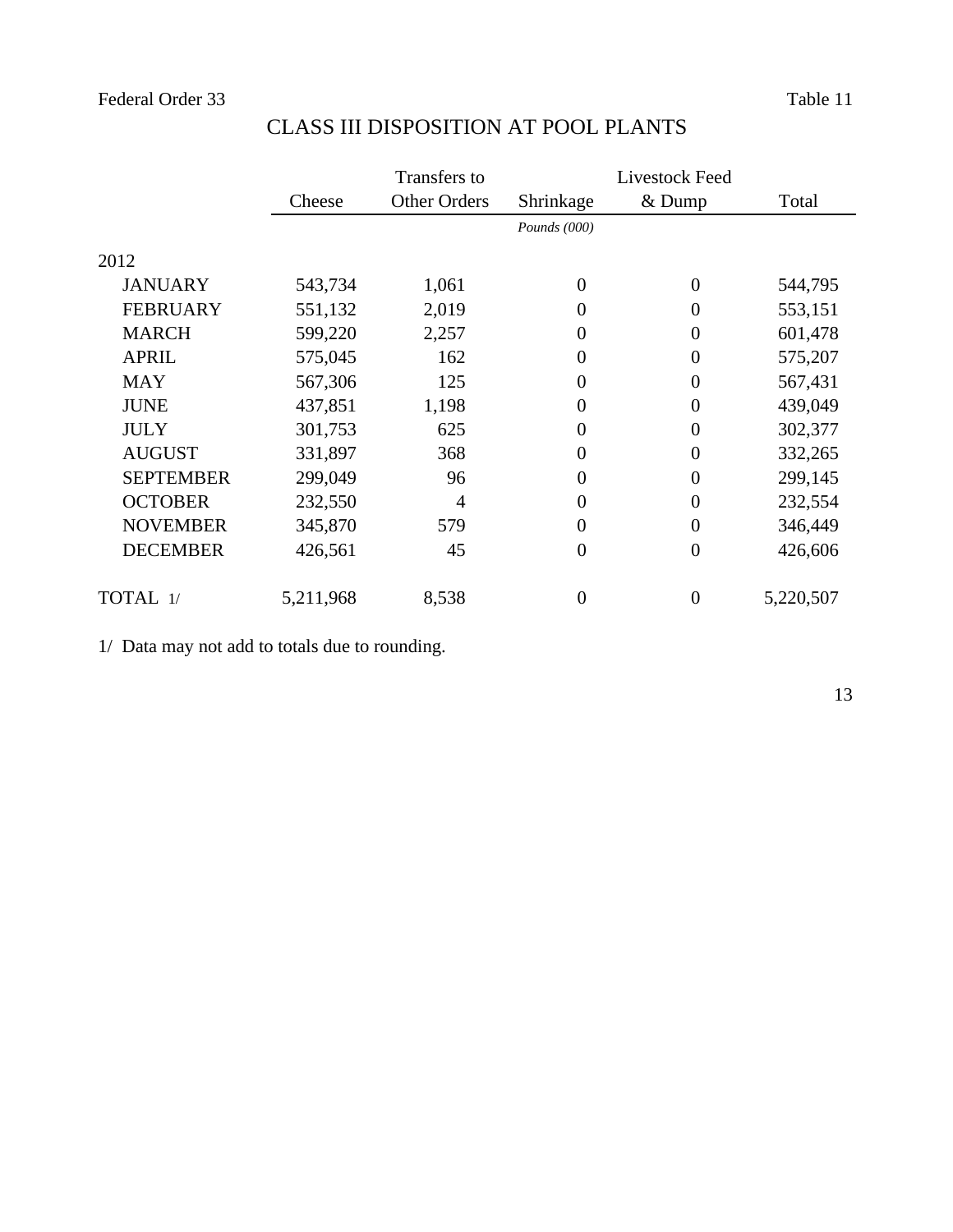|                  |           | Transfers to        |                | Livestock Feed   |           |  |
|------------------|-----------|---------------------|----------------|------------------|-----------|--|
|                  | Cheese    | <b>Other Orders</b> | Shrinkage      | & Dump           | Total     |  |
|                  |           |                     | Pounds (000)   |                  |           |  |
| 2012             |           |                     |                |                  |           |  |
| <b>JANUARY</b>   | 543,734   | 1,061               | $\theta$       | $\overline{0}$   | 544,795   |  |
| <b>FEBRUARY</b>  | 551,132   | 2,019               | $\theta$       | $\overline{0}$   | 553,151   |  |
| <b>MARCH</b>     | 599,220   | 2,257               | $\overline{0}$ | $\overline{0}$   | 601,478   |  |
| <b>APRIL</b>     | 575,045   | 162                 | $\overline{0}$ | $\overline{0}$   | 575,207   |  |
| <b>MAY</b>       | 567,306   | 125                 | $\overline{0}$ | $\overline{0}$   | 567,431   |  |
| <b>JUNE</b>      | 437,851   | 1,198               | $\overline{0}$ | $\overline{0}$   | 439,049   |  |
| <b>JULY</b>      | 301,753   | 625                 | $\overline{0}$ | $\overline{0}$   | 302,377   |  |
| <b>AUGUST</b>    | 331,897   | 368                 | $\overline{0}$ | $\overline{0}$   | 332,265   |  |
| <b>SEPTEMBER</b> | 299,049   | 96                  | $\overline{0}$ | $\overline{0}$   | 299,145   |  |
| <b>OCTOBER</b>   | 232,550   | 4                   | $\Omega$       | $\overline{0}$   | 232,554   |  |
| <b>NOVEMBER</b>  | 345,870   | 579                 | $\Omega$       | $\overline{0}$   | 346,449   |  |
| <b>DECEMBER</b>  | 426,561   | 45                  | $\overline{0}$ | $\overline{0}$   | 426,606   |  |
| TOTAL 1/         | 5,211,968 | 8,538               | $\overline{0}$ | $\boldsymbol{0}$ | 5,220,507 |  |

# CLASS III DISPOSITION AT POOL PLANTS

1/ Data may not add to totals due to rounding.

13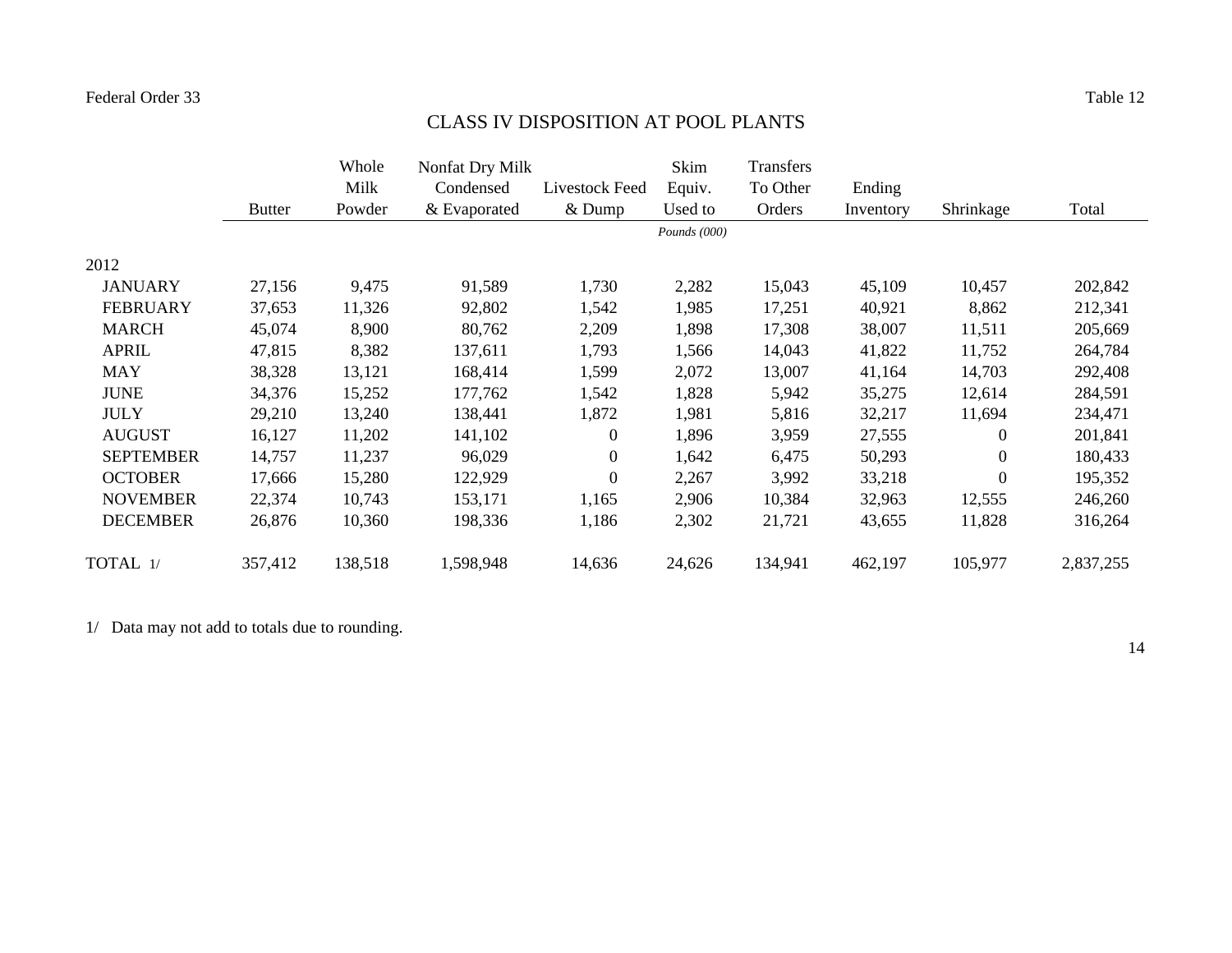# CLASS IV DISPOSITION AT POOL PLANTS

|                  |               | Whole   | Nonfat Dry Milk |                | Skim           | Transfers |           |                  |           |
|------------------|---------------|---------|-----------------|----------------|----------------|-----------|-----------|------------------|-----------|
|                  |               | Milk    | Condensed       | Livestock Feed | Equiv.         | To Other  | Ending    |                  |           |
|                  | <b>Butter</b> | Powder  | & Evaporated    | & Dump         | Used to        | Orders    | Inventory | Shrinkage        | Total     |
|                  |               |         |                 |                | Pounds $(000)$ |           |           |                  |           |
| 2012             |               |         |                 |                |                |           |           |                  |           |
| <b>JANUARY</b>   | 27,156        | 9,475   | 91,589          | 1,730          | 2,282          | 15,043    | 45,109    | 10,457           | 202,842   |
| <b>FEBRUARY</b>  | 37,653        | 11,326  | 92,802          | 1,542          | 1,985          | 17,251    | 40,921    | 8,862            | 212,341   |
| <b>MARCH</b>     | 45,074        | 8,900   | 80,762          | 2,209          | 1,898          | 17,308    | 38,007    | 11,511           | 205,669   |
| <b>APRIL</b>     | 47,815        | 8,382   | 137,611         | 1,793          | 1,566          | 14,043    | 41,822    | 11,752           | 264,784   |
| <b>MAY</b>       | 38,328        | 13,121  | 168,414         | 1,599          | 2,072          | 13,007    | 41,164    | 14,703           | 292,408   |
| <b>JUNE</b>      | 34,376        | 15,252  | 177,762         | 1,542          | 1,828          | 5,942     | 35,275    | 12,614           | 284,591   |
| <b>JULY</b>      | 29,210        | 13,240  | 138,441         | 1,872          | 1,981          | 5,816     | 32,217    | 11,694           | 234,471   |
| <b>AUGUST</b>    | 16,127        | 11,202  | 141,102         | $\overline{0}$ | 1,896          | 3,959     | 27,555    | $\boldsymbol{0}$ | 201,841   |
| <b>SEPTEMBER</b> | 14,757        | 11,237  | 96,029          | $\overline{0}$ | 1,642          | 6,475     | 50,293    | $\boldsymbol{0}$ | 180,433   |
| <b>OCTOBER</b>   | 17,666        | 15,280  | 122,929         | $\overline{0}$ | 2,267          | 3,992     | 33,218    | $\boldsymbol{0}$ | 195,352   |
| <b>NOVEMBER</b>  | 22,374        | 10,743  | 153,171         | 1,165          | 2,906          | 10,384    | 32,963    | 12,555           | 246,260   |
| <b>DECEMBER</b>  | 26,876        | 10,360  | 198,336         | 1,186          | 2,302          | 21,721    | 43,655    | 11,828           | 316,264   |
| TOTAL 1/         | 357,412       | 138,518 | 1,598,948       | 14,636         | 24,626         | 134,941   | 462,197   | 105,977          | 2,837,255 |

1/ Data may not add to totals due to rounding.

14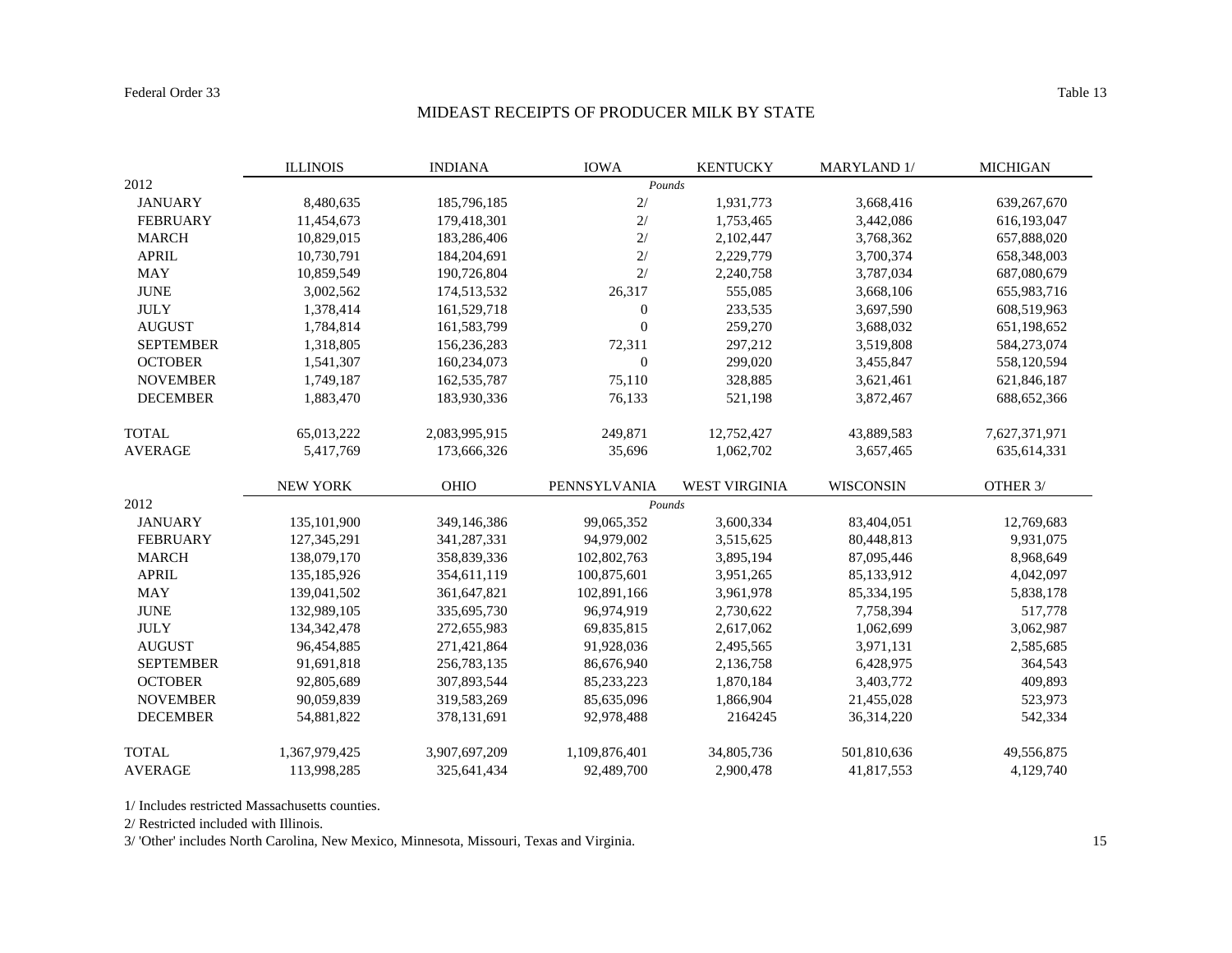#### Table 13

#### MIDEAST RECEIPTS OF PRODUCER MILK BY STATE

|                  | <b>ILLINOIS</b> | <b>INDIANA</b> | <b>IOWA</b>      | <b>KENTUCKY</b>      | <b>MARYLAND 1/</b> | <b>MICHIGAN</b> |
|------------------|-----------------|----------------|------------------|----------------------|--------------------|-----------------|
| 2012             |                 |                | Pounds           |                      |                    |                 |
| <b>JANUARY</b>   | 8,480,635       | 185,796,185    | 2/               | 1,931,773            | 3,668,416          | 639,267,670     |
| <b>FEBRUARY</b>  | 11,454,673      | 179,418,301    | 2/               | 1,753,465            | 3,442,086          | 616,193,047     |
| <b>MARCH</b>     | 10,829,015      | 183,286,406    | 2/               | 2,102,447            | 3,768,362          | 657,888,020     |
| <b>APRIL</b>     | 10,730,791      | 184,204,691    | 2/               | 2,229,779            | 3,700,374          | 658,348,003     |
| <b>MAY</b>       | 10,859,549      | 190,726,804    | 2/               | 2,240,758            | 3,787,034          | 687,080,679     |
| <b>JUNE</b>      | 3,002,562       | 174,513,532    | 26,317           | 555,085              | 3,668,106          | 655,983,716     |
| <b>JULY</b>      | 1,378,414       | 161,529,718    | $\boldsymbol{0}$ | 233,535              | 3,697,590          | 608,519,963     |
| <b>AUGUST</b>    | 1,784,814       | 161,583,799    | $\mathbf{0}$     | 259,270              | 3,688,032          | 651,198,652     |
| <b>SEPTEMBER</b> | 1,318,805       | 156,236,283    | 72,311           | 297,212              | 3,519,808          | 584,273,074     |
| <b>OCTOBER</b>   | 1,541,307       | 160,234,073    | $\overline{0}$   | 299,020              | 3,455,847          | 558,120,594     |
| <b>NOVEMBER</b>  | 1,749,187       | 162,535,787    | 75,110           | 328,885              | 3,621,461          | 621,846,187     |
| <b>DECEMBER</b>  | 1,883,470       | 183,930,336    | 76,133           | 521,198              | 3,872,467          | 688, 652, 366   |
| <b>TOTAL</b>     | 65,013,222      | 2,083,995,915  | 249,871          | 12,752,427           | 43,889,583         | 7,627,371,971   |
| <b>AVERAGE</b>   | 5,417,769       | 173,666,326    | 35,696           | 1,062,702            | 3,657,465          | 635,614,331     |
|                  | <b>NEW YORK</b> | OHIO           | PENNSYLVANIA     | <b>WEST VIRGINIA</b> | <b>WISCONSIN</b>   | OTHER 3/        |
| 2012             |                 |                | Pounds           |                      |                    |                 |
| <b>JANUARY</b>   | 135,101,900     | 349,146,386    | 99,065,352       | 3,600,334            | 83,404,051         | 12,769,683      |
| <b>FEBRUARY</b>  | 127,345,291     | 341,287,331    | 94,979,002       | 3,515,625            | 80,448,813         | 9,931,075       |
| <b>MARCH</b>     | 138,079,170     | 358,839,336    | 102,802,763      | 3,895,194            | 87,095,446         | 8,968,649       |
| <b>APRIL</b>     | 135,185,926     | 354,611,119    | 100,875,601      | 3,951,265            | 85,133,912         | 4,042,097       |
| <b>MAY</b>       | 139,041,502     | 361,647,821    | 102,891,166      | 3,961,978            | 85,334,195         | 5,838,178       |
| <b>JUNE</b>      | 132,989,105     | 335,695,730    | 96,974,919       | 2,730,622            | 7,758,394          | 517,778         |
| <b>JULY</b>      | 134, 342, 478   | 272,655,983    | 69,835,815       | 2,617,062            | 1,062,699          | 3,062,987       |
| <b>AUGUST</b>    | 96,454,885      | 271,421,864    | 91,928,036       | 2,495,565            | 3,971,131          | 2,585,685       |
| <b>SEPTEMBER</b> | 91,691,818      | 256,783,135    | 86,676,940       | 2,136,758            | 6,428,975          | 364,543         |
| <b>OCTOBER</b>   | 92,805,689      | 307,893,544    | 85,233,223       | 1,870,184            | 3,403,772          | 409,893         |
| <b>NOVEMBER</b>  | 90,059,839      | 319,583,269    | 85,635,096       | 1,866,904            | 21,455,028         | 523,973         |
| <b>DECEMBER</b>  | 54,881,822      | 378,131,691    | 92,978,488       | 2164245              | 36,314,220         | 542,334         |
| <b>TOTAL</b>     | 1,367,979,425   | 3,907,697,209  | 1,109,876,401    | 34,805,736           | 501,810,636        | 49,556,875      |
| <b>AVERAGE</b>   | 113,998,285     | 325,641,434    | 92,489,700       | 2,900,478            | 41,817,553         | 4.129.740       |

1/ Includes restricted Massachusetts counties.

2/ Restricted included with Illinois.

3/ 'Other' includes North Carolina, New Mexico, Minnesota, Missouri, Texas and Virginia.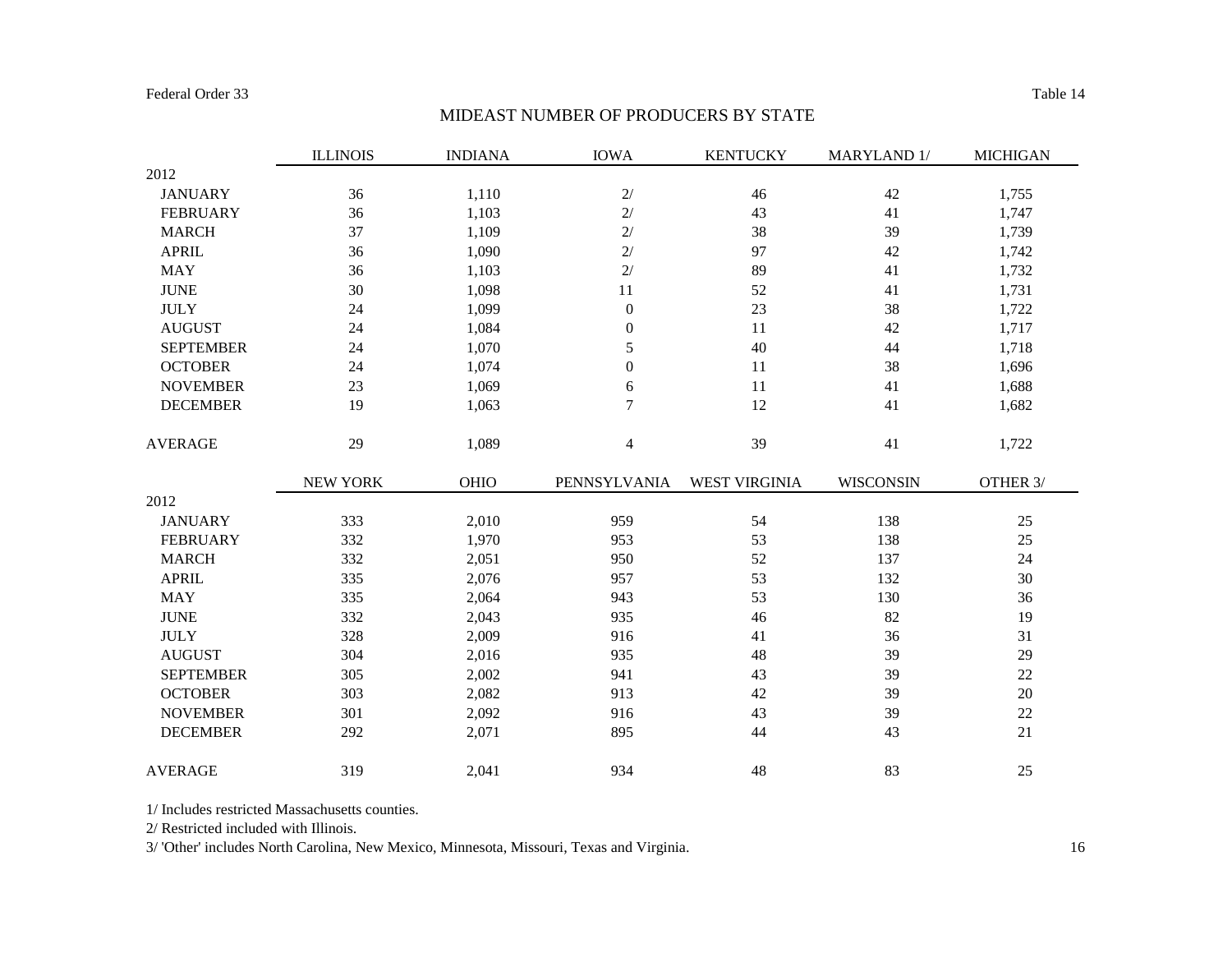#### Table 14

#### MIDEAST NUMBER OF PRODUCERS BY STATE

|                  | <b>ILLINOIS</b> | <b>INDIANA</b> | <b>IOWA</b>      | <b>KENTUCKY</b> | MARYLAND 1/ | <b>MICHIGAN</b> |
|------------------|-----------------|----------------|------------------|-----------------|-------------|-----------------|
| 2012             |                 |                |                  |                 |             |                 |
| <b>JANUARY</b>   | 36              | 1,110          | $2/$             | 46              | 42          | 1,755           |
| <b>FEBRUARY</b>  | 36              | 1,103          | $2/$             | 43              | 41          | 1,747           |
| <b>MARCH</b>     | 37              | 1,109          | $2/$             | 38              | 39          | 1,739           |
| <b>APRIL</b>     | 36              | 1,090          | $2/$             | 97              | 42          | 1,742           |
| <b>MAY</b>       | 36              | 1,103          | 2/               | 89              | 41          | 1,732           |
| <b>JUNE</b>      | 30              | 1,098          | 11               | 52              | 41          | 1,731           |
| <b>JULY</b>      | 24              | 1,099          | $\boldsymbol{0}$ | 23              | 38          | 1,722           |
| <b>AUGUST</b>    | 24              | 1,084          | $\boldsymbol{0}$ | 11              | 42          | 1,717           |
| <b>SEPTEMBER</b> | 24              | 1,070          | 5                | 40              | $44$        | 1,718           |
| <b>OCTOBER</b>   | 24              | 1,074          | $\boldsymbol{0}$ | 11              | 38          | 1,696           |
| <b>NOVEMBER</b>  | 23              | 1,069          | 6                | 11              | 41          | 1,688           |
| <b>DECEMBER</b>  | 19              | 1,063          | 7                | 12              | 41          | 1,682           |
| <b>AVERAGE</b>   | 29              | 1,089          | $\overline{4}$   | 39              | $41\,$      | 1,722           |
|                  | NEW YORK        | OHIO           | PENNSYLVANIA     | WEST VIRGINIA   | WISCONSIN   | OTHER 3/        |
| 2012             |                 |                |                  |                 |             |                 |
| <b>JANUARY</b>   | 333             | 2,010          | 959              | 54              | 138         | 25              |
| <b>FEBRUARY</b>  | 332             | 1,970          | 953              | 53              | 138         | 25              |
| <b>MARCH</b>     | 332             | 2,051          | 950              | 52              | 137         | 24              |
| <b>APRIL</b>     | 335             | 2,076          | 957              | 53              | 132         | 30              |
| <b>MAY</b>       | 335             | 2,064          | 943              | 53              | 130         | 36              |
| <b>JUNE</b>      | 332             | 2,043          | 935              | 46              | 82          | 19              |
| <b>JULY</b>      | 328             | 2,009          | 916              | 41              | 36          | 31              |
| <b>AUGUST</b>    | 304             | 2,016          | 935              | 48              | 39          | 29              |
| <b>SEPTEMBER</b> | 305             | 2,002          | 941              | 43              | 39          | 22              |
| <b>OCTOBER</b>   | 303             | 2,082          | 913              | 42              | 39          | $20\,$          |
| <b>NOVEMBER</b>  | 301             | 2,092          | 916              | 43              | 39          | 22              |
| <b>DECEMBER</b>  | 292             | 2,071          | 895              | 44              | 43          | $21\,$          |
| <b>AVERAGE</b>   | 319             | 2,041          | 934              | 48              | 83          | 25              |

1/ Includes restricted Massachusetts counties.

2/ Restricted included with Illinois.

3/ 'Other' includes North Carolina, New Mexico, Minnesota, Missouri, Texas and Virginia.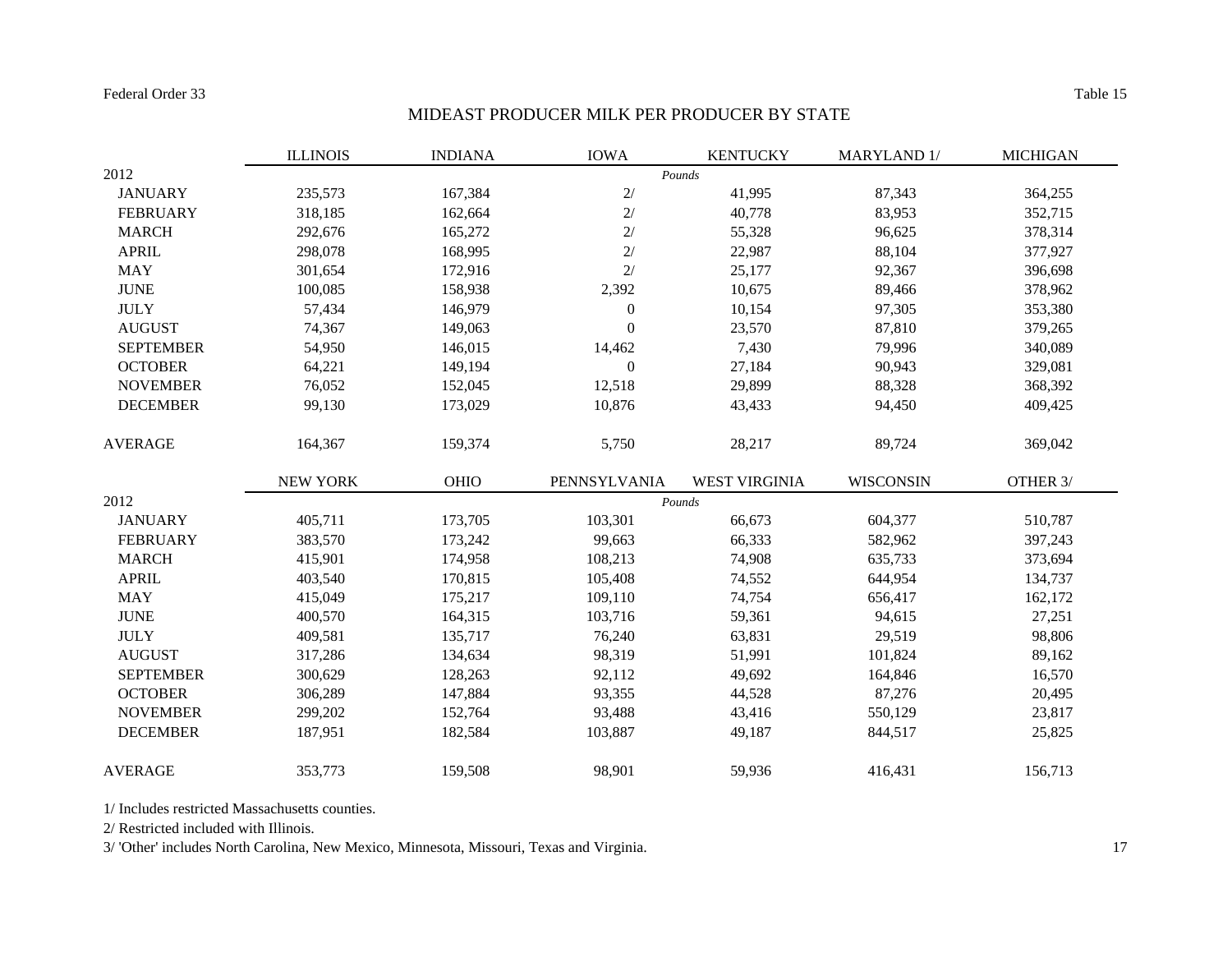#### Table 15

# MIDEAST PRODUCER MILK PER PRODUCER BY STATE

|                  | <b>ILLINOIS</b> | <b>INDIANA</b> | <b>IOWA</b>      | <b>KENTUCKY</b>      | MARYLAND 1/ | <b>MICHIGAN</b> |
|------------------|-----------------|----------------|------------------|----------------------|-------------|-----------------|
| 2012             |                 |                |                  | Pounds               |             |                 |
| <b>JANUARY</b>   | 235,573         | 167,384        | $2/$             | 41,995               | 87,343      | 364,255         |
| <b>FEBRUARY</b>  | 318,185         | 162,664        | $2/$             | 40,778               | 83,953      | 352,715         |
| <b>MARCH</b>     | 292,676         | 165,272        | $2/$             | 55,328               | 96,625      | 378,314         |
| <b>APRIL</b>     | 298,078         | 168,995        | 2/               | 22,987               | 88,104      | 377,927         |
| <b>MAY</b>       | 301,654         | 172,916        | 2/               | 25,177               | 92,367      | 396,698         |
| <b>JUNE</b>      | 100,085         | 158,938        | 2,392            | 10,675               | 89,466      | 378,962         |
| <b>JULY</b>      | 57,434          | 146,979        | $\boldsymbol{0}$ | 10,154               | 97,305      | 353,380         |
| <b>AUGUST</b>    | 74,367          | 149,063        | $\theta$         | 23,570               | 87,810      | 379,265         |
| <b>SEPTEMBER</b> | 54,950          | 146,015        | 14,462           | 7,430                | 79,996      | 340,089         |
| <b>OCTOBER</b>   | 64,221          | 149,194        | $\boldsymbol{0}$ | 27,184               | 90,943      | 329,081         |
| <b>NOVEMBER</b>  | 76,052          | 152,045        | 12,518           | 29,899               | 88,328      | 368,392         |
| <b>DECEMBER</b>  | 99,130          | 173,029        | 10,876           | 43,433               | 94,450      | 409,425         |
| <b>AVERAGE</b>   | 164,367         | 159,374        | 5,750            | 28,217               | 89,724      | 369,042         |
|                  | <b>NEW YORK</b> | OHIO           | PENNSYLVANIA     | <b>WEST VIRGINIA</b> | WISCONSIN   | OTHER 3/        |
| 2012             |                 |                |                  | Pounds               |             |                 |
| <b>JANUARY</b>   | 405,711         | 173,705        | 103,301          | 66,673               | 604,377     | 510,787         |
| <b>FEBRUARY</b>  | 383,570         | 173,242        | 99,663           | 66,333               | 582,962     | 397,243         |
| <b>MARCH</b>     | 415,901         | 174,958        | 108,213          | 74,908               | 635,733     | 373,694         |
| <b>APRIL</b>     | 403,540         | 170,815        | 105,408          | 74,552               | 644,954     | 134,737         |
| <b>MAY</b>       | 415,049         | 175,217        | 109,110          | 74,754               | 656,417     | 162,172         |
| <b>JUNE</b>      | 400,570         | 164,315        | 103,716          | 59,361               | 94,615      | 27,251          |
| <b>JULY</b>      | 409,581         | 135,717        | 76,240           | 63,831               | 29,519      | 98,806          |
| <b>AUGUST</b>    | 317,286         | 134,634        | 98,319           | 51,991               | 101,824     | 89,162          |
| <b>SEPTEMBER</b> | 300,629         | 128,263        | 92,112           | 49,692               | 164,846     | 16,570          |
| <b>OCTOBER</b>   | 306,289         | 147,884        | 93,355           | 44,528               | 87,276      | 20,495          |
| <b>NOVEMBER</b>  | 299,202         | 152,764        | 93,488           | 43,416               | 550,129     | 23,817          |
| <b>DECEMBER</b>  | 187,951         | 182,584        | 103,887          | 49,187               | 844,517     | 25,825          |
| <b>AVERAGE</b>   | 353,773         | 159,508        | 98,901           | 59,936               | 416,431     | 156,713         |

1/ Includes restricted Massachusetts counties.

2/ Restricted included with Illinois.

3/ 'Other' includes North Carolina, New Mexico, Minnesota, Missouri, Texas and Virginia. 17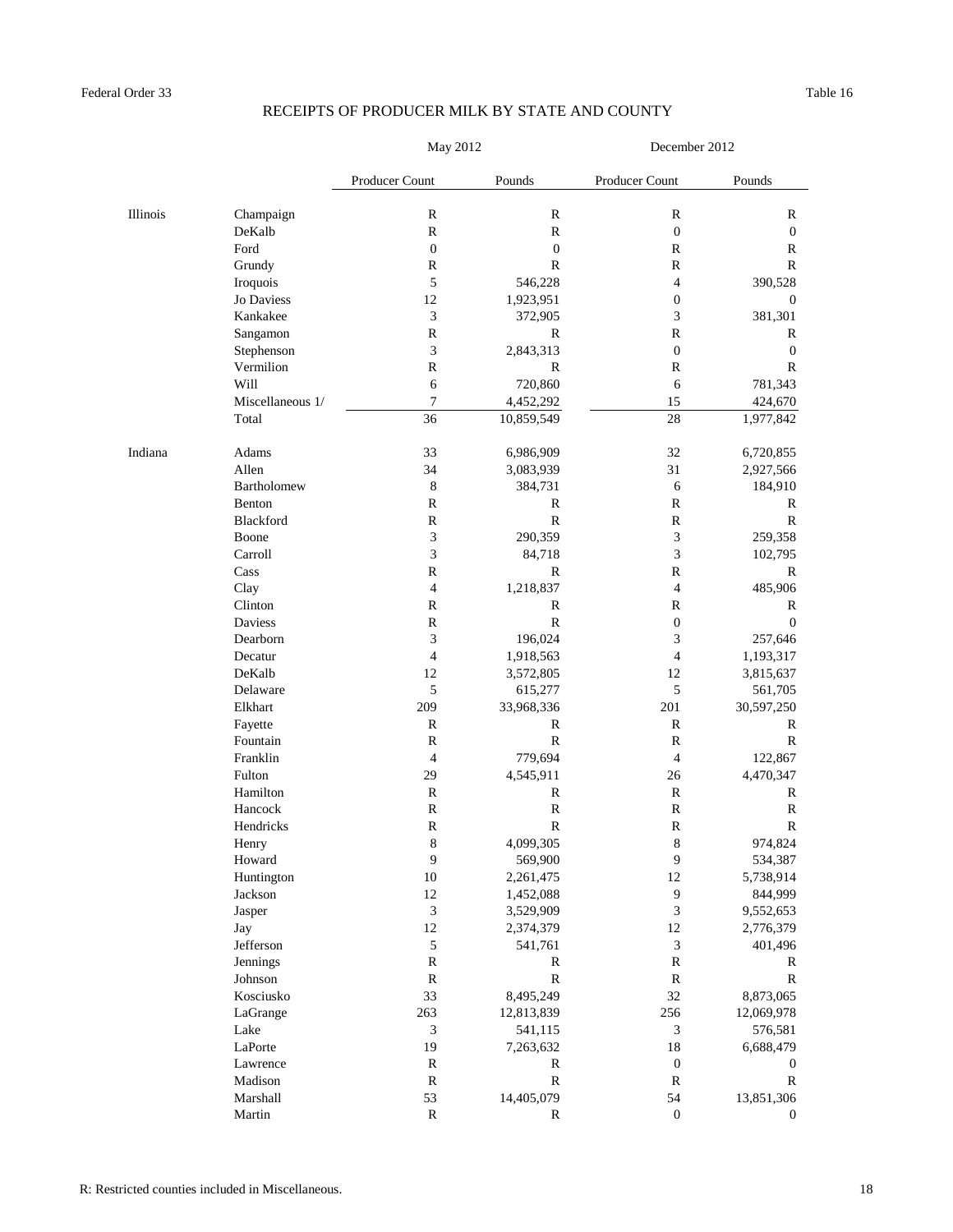|          |                      | May 2012                    |                        | December 2012               |                      |  |
|----------|----------------------|-----------------------------|------------------------|-----------------------------|----------------------|--|
|          |                      | Producer Count              | Pounds                 | Producer Count              | Pounds               |  |
| Illinois | Champaign            | $\mathbf R$                 | $\mathbf R$            | $\mathbf R$                 | R                    |  |
|          | DeKalb               | $\mathbb{R}$                | $\mathbb{R}$           | $\boldsymbol{0}$            | $\mathbf{0}$         |  |
|          | Ford                 | $\boldsymbol{0}$            | $\mathbf{0}$           | $\mathbb{R}$                | R                    |  |
|          | Grundy               | $\mathbb R$                 | R                      | $\mathbb{R}$                | R                    |  |
|          | Iroquois             | $\sqrt{5}$                  | 546,228                | $\overline{4}$              | 390,528              |  |
|          | Jo Daviess           | 12                          | 1,923,951              | $\boldsymbol{0}$            | $\boldsymbol{0}$     |  |
|          | Kankakee             | 3                           | 372,905                | $\mathfrak{Z}$              | 381,301              |  |
|          | Sangamon             | $\mathbf R$                 | $\mathbb{R}$           | $\mathbf R$                 | R                    |  |
|          | Stephenson           | $\mathfrak{Z}$              | 2,843,313              | $\boldsymbol{0}$            | $\mathbf{0}$         |  |
|          | Vermilion            | $\mathbb R$                 | R                      | $\mathbb R$                 | R                    |  |
|          | Will                 | 6                           | 720,860                | 6                           | 781,343              |  |
|          | Miscellaneous 1/     | $\boldsymbol{7}$            | 4,452,292              | 15                          | 424,670              |  |
|          | Total                | 36                          | 10,859,549             | 28                          | 1,977,842            |  |
| Indiana  | Adams                | 33                          | 6,986,909              | 32                          | 6,720,855            |  |
|          | Allen                | 34                          | 3,083,939              | 31                          | 2,927,566            |  |
|          | Bartholomew          | $\,8\,$                     | 384,731                | 6                           | 184,910              |  |
|          | Benton               | $\mathbb R$                 | R                      | $\mathbb{R}$                | R                    |  |
|          | Blackford            | $\mathbb R$                 | ${\bf R}$              | $\mathbf R$                 | $\mathbb{R}$         |  |
|          | Boone                | $\mathfrak{Z}$              | 290,359                | $\mathfrak 3$               | 259,358              |  |
|          | Carroll              | 3                           | 84,718                 | 3                           | 102,795              |  |
|          | Cass                 | $\mathbb R$                 | R                      | R                           | R                    |  |
|          | Clay                 | $\overline{4}$              | 1,218,837              | $\overline{4}$              | 485,906              |  |
|          | Clinton              | $\mathbb{R}$                | R                      | $\mathbb{R}$                | R                    |  |
|          | Daviess              | $\mathbb{R}$                | ${\mathbb R}$          | $\boldsymbol{0}$            | $\mathbf{0}$         |  |
|          | Dearborn             | 3                           | 196,024                | 3                           | 257,646              |  |
|          | Decatur              | $\overline{4}$              | 1,918,563              | 4                           | 1,193,317            |  |
|          | DeKalb               | 12                          | 3,572,805              | 12                          | 3,815,637            |  |
|          | Delaware             | $\sqrt{5}$                  | 615,277                | 5                           | 561,705              |  |
|          | Elkhart              | 209                         | 33,968,336             | 201                         | 30,597,250           |  |
|          | Fayette              | R                           | R                      | $\mathbb{R}$                | R                    |  |
|          | Fountain             | $\mathbb{R}$                | $\mathbb{R}$           | $\mathbb{R}$                | R                    |  |
|          | Franklin             | $\overline{4}$              | 779,694                | $\overline{4}$              | 122,867              |  |
|          | Fulton               | 29                          | 4,545,911              | 26                          | 4,470,347            |  |
|          | Hamilton             | $\mathbb{R}$                | R                      | $\mathbb R$                 | R                    |  |
|          | Hancock              | $\mathbf R$                 | ${\mathbb R}$          | $\mathbf R$                 | R                    |  |
|          | Hendricks            | $\mathbf R$                 | $\mathbb{R}$           | $\mathbf R$                 | $\mathbb{R}$         |  |
|          | Henry                | $\,8\,$<br>$\overline{9}$   | 4,099,305<br>569,900   | $\,8\,$<br>9                | 974,824              |  |
|          | Howard<br>Huntington | $10\,$                      |                        | 12                          | 534,387<br>5,738,914 |  |
|          | Jackson              | $12\,$                      | 2,261,475<br>1,452,088 | $\overline{9}$              | 844,999              |  |
|          | Jasper               | $\ensuremath{\mathfrak{Z}}$ | 3,529,909              | $\mathfrak 3$               | 9,552,653            |  |
|          | Jay                  | $12\,$                      | 2,374,379              | 12                          | 2,776,379            |  |
|          | Jefferson            | $\sqrt{5}$                  | 541,761                | $\ensuremath{\mathfrak{Z}}$ | 401,496              |  |
|          | Jennings             | $\mathbb R$                 | R                      | $\mathbf R$                 | R                    |  |
|          | Johnson              | ${\bf R}$                   | $\mathbf R$            | ${\bf R}$                   | $\mathbb{R}$         |  |
|          | Kosciusko            | 33                          | 8,495,249              | 32                          | 8,873,065            |  |
|          | LaGrange             | 263                         | 12,813,839             | 256                         | 12,069,978           |  |
|          | Lake                 | 3                           | 541,115                | $\ensuremath{\mathfrak{Z}}$ | 576,581              |  |
|          | LaPorte              | 19                          | 7,263,632              | 18                          | 6,688,479            |  |
|          | Lawrence             | ${\bf R}$                   | R                      | $\boldsymbol{0}$            | $\boldsymbol{0}$     |  |
|          | Madison              | ${\bf R}$                   | $\mathbf R$            | $\mathbb R$                 | R                    |  |
|          | Marshall             | 53                          | 14,405,079             | 54                          | 13,851,306           |  |
|          | Martin               | ${\bf R}$                   | R                      | $\boldsymbol{0}$            | $\overline{0}$       |  |
|          |                      |                             |                        |                             |                      |  |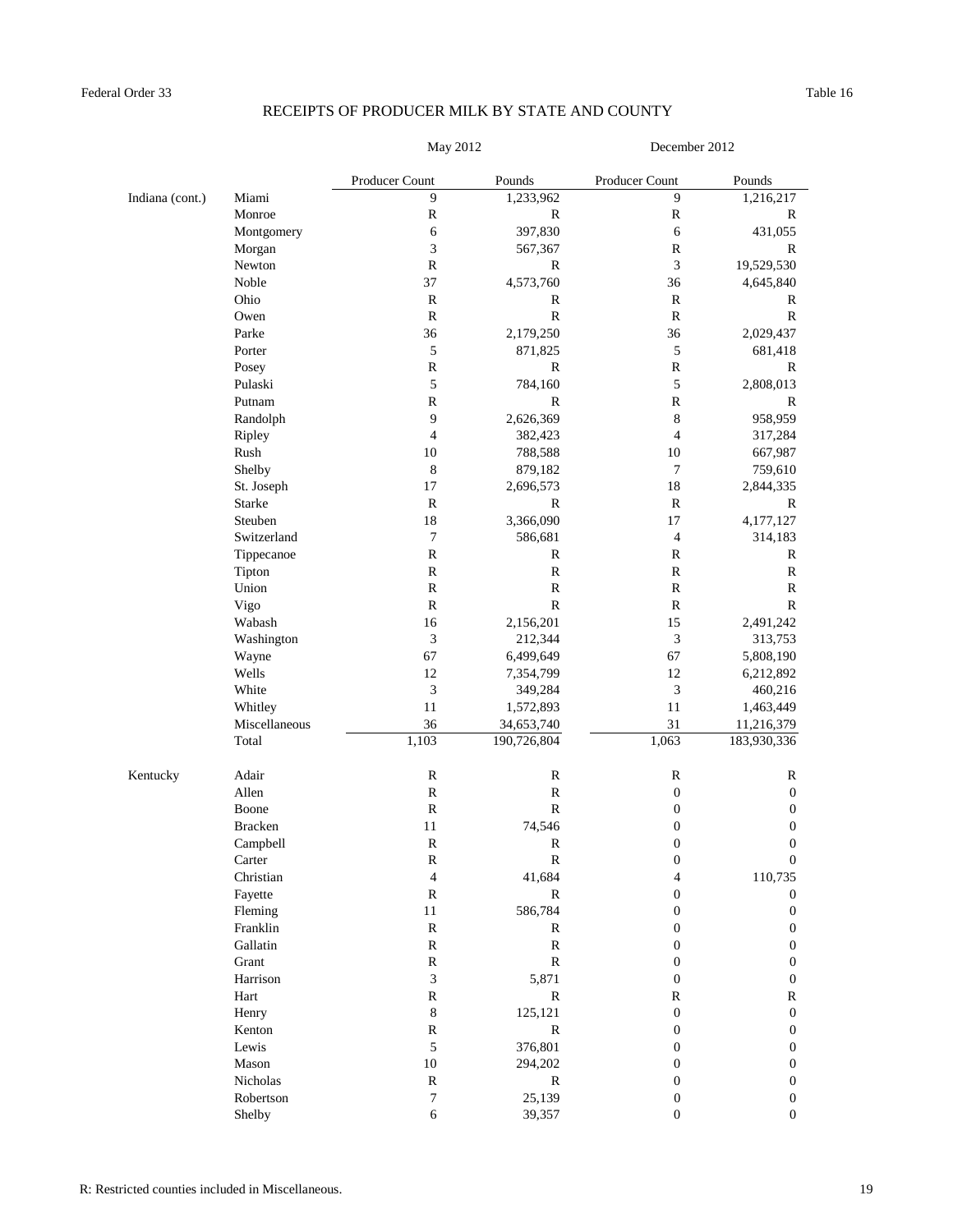May 2012 December 2012

|                 |                | Producer Count              | Pounds       | Producer Count   | Pounds           |
|-----------------|----------------|-----------------------------|--------------|------------------|------------------|
| Indiana (cont.) | Miami          | 9                           | 1,233,962    | 9                | 1,216,217        |
|                 | Monroe         | $\mathbb R$                 | $\mathbf R$  | ${\mathbb R}$    | $\mathbb{R}$     |
|                 | Montgomery     | 6                           | 397,830      | $\sqrt{6}$       | 431,055          |
|                 | Morgan         | $\mathfrak{Z}$              | 567,367      | $\mathbf R$      | $\mathbf R$      |
|                 | Newton         | $\mathbb{R}$                | R            | $\mathfrak{Z}$   | 19,529,530       |
|                 | Noble          | 37                          | 4,573,760    | 36               | 4,645,840        |
|                 | Ohio           | ${\bf R}$                   | R            | $\mathbb R$      | R                |
|                 | Owen           | ${\bf R}$                   | $\mathbb{R}$ | ${\bf R}$        | ${\bf R}$        |
|                 | Parke          | 36                          | 2,179,250    | 36               | 2,029,437        |
|                 | Porter         | 5                           | 871,825      | $\sqrt{5}$       | 681,418          |
|                 | Posey          | $\mathbf R$                 | R            | ${\mathbb R}$    | $\mathbb{R}$     |
|                 | Pulaski        | $\sqrt{5}$                  | 784,160      | $\sqrt{5}$       | 2,808,013        |
|                 | Putnam         | ${\bf R}$                   | $\mathbb{R}$ | ${\mathbb R}$    | $\mathbb{R}$     |
|                 | Randolph       | $\overline{9}$              | 2,626,369    | $\,8\,$          | 958,959          |
|                 | Ripley         | $\overline{4}$              | 382,423      | $\overline{4}$   | 317,284          |
|                 | Rush           | 10                          | 788,588      | 10               | 667,987          |
|                 | Shelby         | $\,8\,$                     | 879,182      | $\boldsymbol{7}$ | 759,610          |
|                 | St. Joseph     | 17                          | 2,696,573    | 18               | 2,844,335        |
|                 | Starke         | $\mathbb{R}$                | $\mathbb{R}$ | $\mathbf R$      | ${\bf R}$        |
|                 | Steuben        | 18                          | 3,366,090    | 17               | 4,177,127        |
|                 | Switzerland    | $\boldsymbol{7}$            | 586,681      | $\sqrt{4}$       | 314,183          |
|                 | Tippecanoe     | $\mathbf R$                 | R            | $\mathbb R$      | $\mathbb{R}$     |
|                 | Tipton         | $\mathbf R$                 | ${\bf R}$    | $\mathbf R$      | $\mathbb R$      |
|                 | Union          | ${\bf R}$                   | $\mathbb{R}$ | $\mathbb R$      | $\mathbb R$      |
|                 | Vigo           | ${\bf R}$                   | $\mathbb{R}$ | ${\bf R}$        | $\mathbb{R}$     |
|                 | Wabash         | 16                          | 2,156,201    | 15               | 2,491,242        |
|                 | Washington     | $\ensuremath{\mathfrak{Z}}$ | 212,344      | 3                | 313,753          |
|                 | Wayne          | 67                          | 6,499,649    | 67               | 5,808,190        |
|                 | Wells          | 12                          | 7,354,799    | 12               | 6,212,892        |
|                 | White          | $\mathfrak z$               | 349,284      | $\mathfrak{Z}$   | 460,216          |
|                 | Whitley        | 11                          | 1,572,893    | 11               | 1,463,449        |
|                 | Miscellaneous  | 36                          | 34,653,740   | 31               | 11,216,379       |
|                 | Total          | 1,103                       | 190,726,804  | 1,063            | 183,930,336      |
| Kentucky        | Adair          | $\mathbb R$                 | $\mathbf R$  | ${\mathbb R}$    | $\mathbb{R}$     |
|                 | Allen          | ${\bf R}$                   | $\mathbb{R}$ | $\boldsymbol{0}$ | $\boldsymbol{0}$ |
|                 | Boone          | ${\bf R}$                   | $\mathbb{R}$ | $\boldsymbol{0}$ | $\boldsymbol{0}$ |
|                 | <b>Bracken</b> | 11                          | 74,546       | $\boldsymbol{0}$ | $\boldsymbol{0}$ |
|                 | Campbell       | ${\bf R}$                   | $\mathbb R$  | $\boldsymbol{0}$ | $\boldsymbol{0}$ |
|                 | Carter         | $\mathbb{R}$                | $\mathbb{R}$ | $\boldsymbol{0}$ | $\boldsymbol{0}$ |
|                 | Christian      | $\overline{4}$              | 41,684       | $\overline{4}$   | 110,735          |
|                 | Fayette        | ${\bf R}$                   | $\mathbf R$  | $\boldsymbol{0}$ | $\mathbf{0}$     |
|                 | Fleming        | $11\,$                      | 586,784      | $\boldsymbol{0}$ | $\mathbf{0}$     |
|                 | Franklin       | ${\bf R}$                   | R            | $\boldsymbol{0}$ | $\mathbf{0}$     |
|                 | Gallatin       | $\mathbf R$                 | $\mathbf R$  | $\boldsymbol{0}$ | $\mathbf{0}$     |
|                 | Grant          | ${\bf R}$                   | ${\bf R}$    | $\boldsymbol{0}$ | $\boldsymbol{0}$ |
|                 | Harrison       | $\ensuremath{\mathfrak{Z}}$ | 5,871        | $\boldsymbol{0}$ | $\mathbf{0}$     |
|                 | Hart           | ${\bf R}$                   | R            | ${\mathbb R}$    | $\mathbb{R}$     |
|                 | Henry          | $\,8\,$                     | 125,121      | $\boldsymbol{0}$ | $\boldsymbol{0}$ |
|                 | Kenton         | $\mathbb R$                 | R            | $\boldsymbol{0}$ | $\mathbf{0}$     |
|                 | Lewis          | $\sqrt{5}$                  | 376,801      | $\boldsymbol{0}$ | $\boldsymbol{0}$ |
|                 | Mason          | $10\,$                      | 294,202      | $\boldsymbol{0}$ | $\boldsymbol{0}$ |
|                 | Nicholas       | $\mathbb R$                 | $\mathbf R$  | $\boldsymbol{0}$ | $\boldsymbol{0}$ |
|                 | Robertson      | $\boldsymbol{7}$            | 25,139       | $\boldsymbol{0}$ | $\boldsymbol{0}$ |
|                 | Shelby         | $\sqrt{6}$                  | 39,357       | $\boldsymbol{0}$ | $\boldsymbol{0}$ |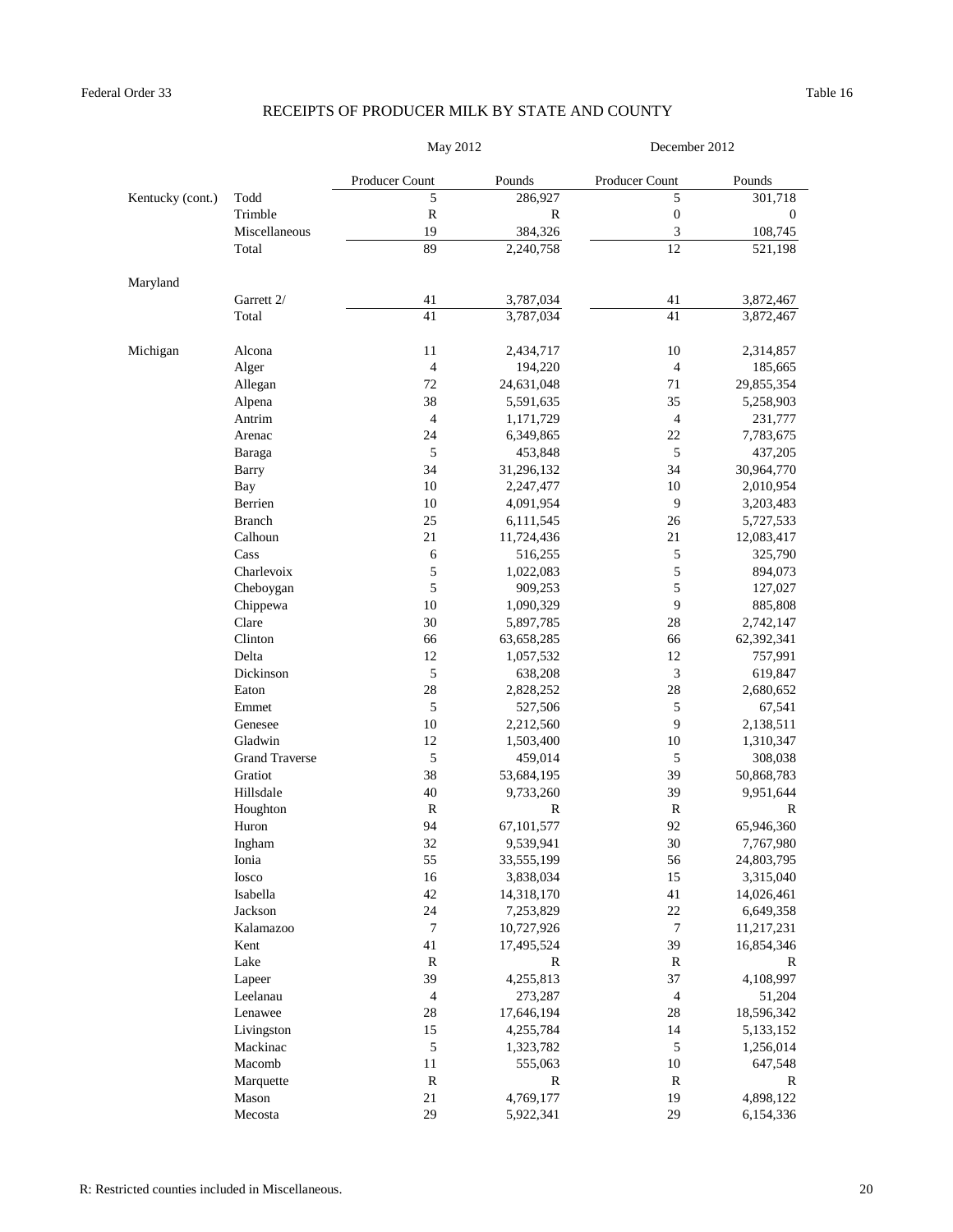|                  |                       | May 2012                 |              | December 2012            |                  |
|------------------|-----------------------|--------------------------|--------------|--------------------------|------------------|
|                  |                       | Producer Count           | Pounds       | Producer Count           | Pounds           |
| Kentucky (cont.) | Todd                  | 5                        | 286,927      | 5                        | 301,718          |
|                  | Trimble               | $\mathbb{R}$             | R            | $\boldsymbol{0}$         | $\boldsymbol{0}$ |
|                  | Miscellaneous         | 19                       | 384,326      | 3                        | 108,745          |
|                  | Total                 | 89                       | 2,240,758    | 12                       | 521,198          |
| Maryland         |                       |                          |              |                          |                  |
|                  | Garrett 2/            | 41                       | 3,787,034    | 41                       | 3,872,467        |
|                  | Total                 | 41                       | 3,787,034    | 41                       | 3,872,467        |
| Michigan         | Alcona                | 11                       | 2,434,717    | 10                       | 2,314,857        |
|                  | Alger                 | $\overline{4}$           | 194,220      | $\overline{\mathcal{L}}$ | 185,665          |
|                  | Allegan               | 72                       | 24,631,048   | 71                       | 29,855,354       |
|                  | Alpena                | 38                       | 5,591,635    | 35                       | 5,258,903        |
|                  | Antrim                | $\overline{4}$           | 1,171,729    | $\overline{4}$           | 231,777          |
|                  | Arenac                | 24                       | 6,349,865    | 22                       | 7,783,675        |
|                  | Baraga                | 5                        | 453,848      | 5                        | 437,205          |
|                  | Barry                 | 34                       | 31,296,132   | 34                       | 30,964,770       |
|                  | Bay                   | 10                       | 2,247,477    | 10                       | 2,010,954        |
|                  | Berrien               | 10                       | 4,091,954    | 9                        | 3,203,483        |
|                  | <b>Branch</b>         | 25                       | 6,111,545    | 26                       | 5,727,533        |
|                  | Calhoun               | 21                       | 11,724,436   | 21                       | 12,083,417       |
|                  | Cass                  | 6                        | 516,255      | 5                        | 325,790          |
|                  | Charlevoix            | 5                        | 1,022,083    | 5                        | 894,073          |
|                  | Cheboygan             | 5                        | 909,253      | 5                        | 127,027          |
|                  | Chippewa              | 10                       | 1,090,329    | 9                        | 885,808          |
|                  | Clare                 | 30                       | 5,897,785    | 28                       | 2,742,147        |
|                  | Clinton               | 66                       | 63,658,285   | 66                       | 62,392,341       |
|                  | Delta                 | 12                       | 1,057,532    | 12                       | 757,991          |
|                  | Dickinson             | 5                        | 638,208      | 3                        | 619,847          |
|                  | Eaton                 | 28                       | 2,828,252    | 28                       | 2,680,652        |
|                  | Emmet                 | 5                        | 527,506      | 5                        | 67,541           |
|                  | Genesee               | 10                       | 2,212,560    | 9                        | 2,138,511        |
|                  | Gladwin               | 12                       | 1,503,400    | 10                       | 1,310,347        |
|                  | <b>Grand Traverse</b> | 5                        | 459,014      | 5                        | 308,038          |
|                  | Gratiot               | 38                       | 53,684,195   | 39                       | 50,868,783       |
|                  | Hillsdale             | 40                       | 9,733,260    | 39                       | 9,951,644        |
|                  | Houghton              | R                        | R            | R                        | R                |
|                  | Huron                 | 94                       | 67,101,577   | 92                       | 65,946,360       |
|                  | Ingham                | 32                       | 9,539,941    | $30\,$                   | 7,767,980        |
|                  | Ionia                 | 55                       | 33,555,199   | 56                       | 24,803,795       |
|                  | Iosco                 | 16                       | 3,838,034    | 15                       | 3,315,040        |
|                  | Isabella              | 42                       | 14,318,170   | 41                       | 14,026,461       |
|                  | Jackson               | 24                       | 7,253,829    | 22                       | 6,649,358        |
|                  | Kalamazoo             | $\tau$                   | 10,727,926   | 7                        | 11,217,231       |
|                  | Kent                  | 41                       | 17,495,524   | 39                       | 16,854,346       |
|                  | Lake                  | $\mathbb{R}$             | R            | $\mathbb R$              | R                |
|                  | Lapeer                | 39                       | 4,255,813    | 37                       | 4,108,997        |
|                  | Leelanau              | $\overline{\mathcal{L}}$ | 273,287      | $\overline{\mathcal{L}}$ | 51,204           |
|                  | Lenawee               | $28\,$                   | 17,646,194   | $28\,$                   | 18,596,342       |
|                  | Livingston            | 15                       | 4,255,784    | 14                       | 5,133,152        |
|                  | Mackinac              | 5                        | 1,323,782    | 5                        | 1,256,014        |
|                  | Macomb                | $11\,$                   | 555,063      | $10\,$                   | 647,548          |
|                  | Marquette             | $\mathbb{R}$             | $\mathbb{R}$ | $\bf R$                  | $\mathbb{R}$     |
|                  | Mason                 | 21                       | 4,769,177    | 19                       | 4,898,122        |
|                  | Mecosta               | 29                       | 5,922,341    | 29                       | 6,154,336        |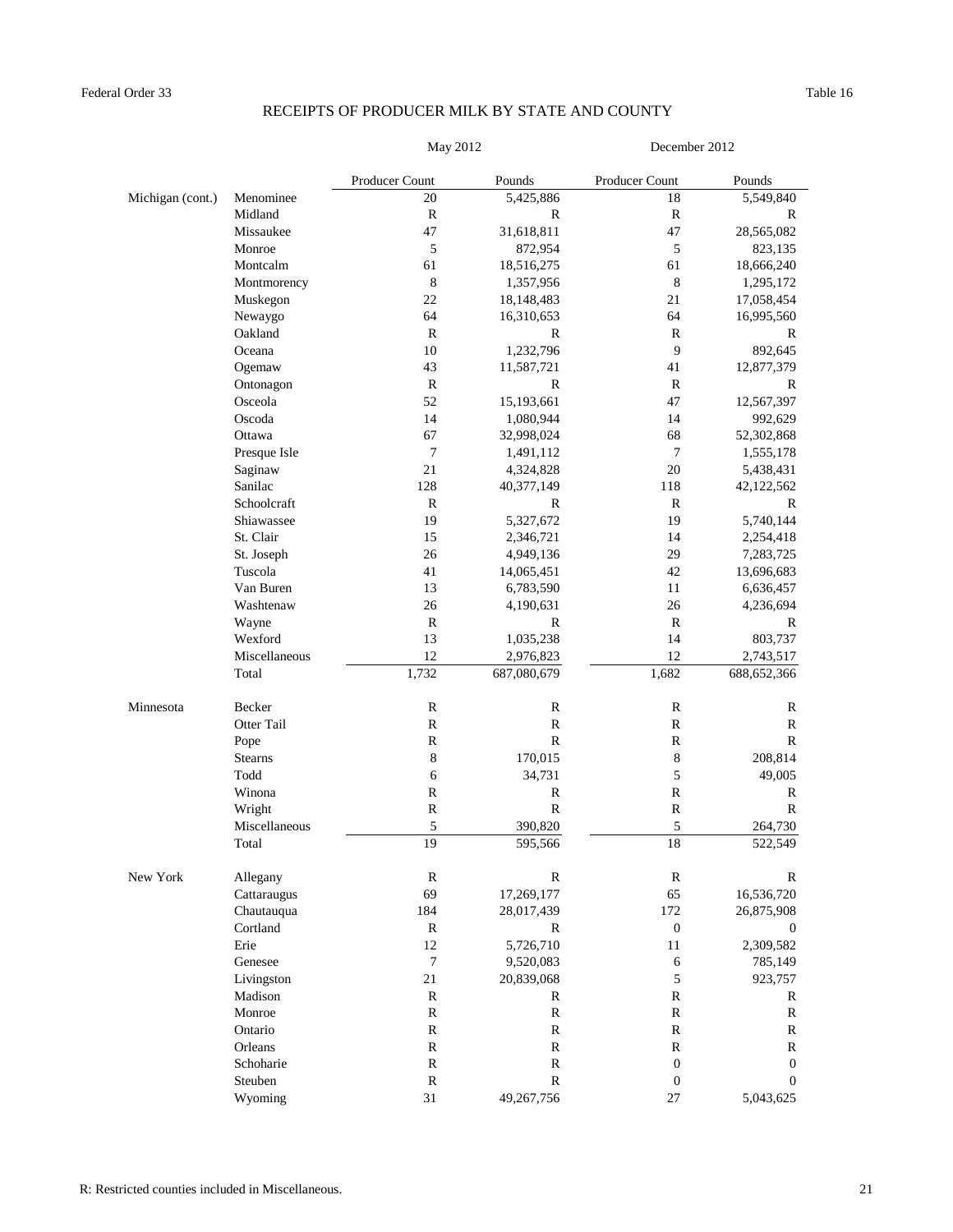#### Federal Order 33 Table 16

## RECEIPTS OF PRODUCER MILK BY STATE AND COUNTY

| May 2012 |  |
|----------|--|
|          |  |

ay 2012 December 2012

|                  |                | Producer Count | Pounds       | Producer Count   | Pounds           |
|------------------|----------------|----------------|--------------|------------------|------------------|
| Michigan (cont.) | Menominee      | 20             | 5,425,886    | 18               | 5,549,840        |
|                  | Midland        | $\mathbb{R}$   | R            | $\mathbb{R}$     | R                |
|                  | Missaukee      | 47             | 31,618,811   | 47               | 28,565,082       |
|                  | Monroe         | 5              | 872,954      | $\mathfrak s$    | 823,135          |
|                  | Montcalm       | 61             | 18,516,275   | 61               | 18,666,240       |
|                  | Montmorency    | $\,8\,$        | 1,357,956    | $\,8\,$          | 1,295,172        |
|                  | Muskegon       | 22             | 18,148,483   | 21               | 17,058,454       |
|                  | Newaygo        | 64             | 16,310,653   | 64               | 16,995,560       |
|                  | Oakland        | $\mathbb{R}$   | R            | $\mathbf R$      | $\mathbb{R}$     |
|                  | Oceana         | 10             | 1,232,796    | 9                | 892,645          |
|                  | Ogemaw         | 43             | 11,587,721   | 41               | 12,877,379       |
|                  | Ontonagon      | $\mathbb{R}$   | R            | $\mathbf R$      | $\mathbb{R}$     |
|                  | Osceola        | 52             | 15,193,661   | 47               | 12,567,397       |
|                  | Oscoda         | 14             | 1,080,944    | 14               | 992,629          |
|                  | Ottawa         | 67             | 32,998,024   | 68               | 52,302,868       |
|                  | Presque Isle   | 7              | 1,491,112    | $\tau$           | 1,555,178        |
|                  | Saginaw        | 21             | 4,324,828    | $20\,$           | 5,438,431        |
|                  | Sanilac        | 128            | 40,377,149   | 118              | 42,122,562       |
|                  | Schoolcraft    | $\mathbb{R}$   | $\mathbb{R}$ | $\mathbb{R}$     | R                |
|                  | Shiawassee     | 19             | 5,327,672    | 19               | 5,740,144        |
|                  | St. Clair      | 15             | 2,346,721    | 14               | 2,254,418        |
|                  | St. Joseph     | 26             | 4,949,136    | 29               | 7,283,725        |
|                  | Tuscola        | 41             | 14,065,451   | 42               | 13,696,683       |
|                  | Van Buren      | 13             | 6,783,590    | 11               | 6,636,457        |
|                  | Washtenaw      | 26             | 4,190,631    | 26               | 4,236,694        |
|                  | Wayne          | ${\bf R}$      | $\mathbb{R}$ | $\mathbb{R}$     | $\mathbb{R}$     |
|                  | Wexford        | 13             | 1,035,238    | 14               | 803,737          |
|                  | Miscellaneous  | 12             | 2,976,823    | 12               | 2,743,517        |
|                  | Total          | 1,732          | 687,080,679  | 1,682            | 688, 652, 366    |
| Minnesota        | Becker         | ${\mathbb R}$  | $\mathbb R$  | $\mathbb R$      | $\mathbb{R}$     |
|                  | Otter Tail     | ${\mathbb R}$  | ${\bf R}$    | $\mathbb R$      | $\mathbf R$      |
|                  | Pope           | $\mathbb{R}$   | ${\bf R}$    | $\mathbb{R}$     | ${\bf R}$        |
|                  | <b>Stearns</b> | 8              | 170,015      | $\,$ 8 $\,$      | 208,814          |
|                  | Todd           | 6              | 34,731       | 5                | 49,005           |
|                  | Winona         | ${\mathbb R}$  | R            | $\mathbb R$      | $\mathbb{R}$     |
|                  | Wright         | ${\mathbb R}$  | ${\bf R}$    | $\mathbb R$      | $\mathbb{R}$     |
|                  | Miscellaneous  | 5              | 390,820      | 5                | 264,730          |
|                  | Total          | 19             | 595,566      | 18               | 522,549          |
| New York         | Allegany       | $\mathbb{R}$   | $\mathbb{R}$ | $\mathbb R$      | $\mathbb{R}$     |
|                  | Cattaraugus    | 69             | 17,269,177   | 65               | 16,536,720       |
|                  | Chautauqua     | 184            | 28,017,439   | 172              | 26,875,908       |
|                  | Cortland       | $\mathbb{R}$   | $\mathbb{R}$ | $\boldsymbol{0}$ | $\boldsymbol{0}$ |
|                  | Erie           | 12             | 5,726,710    | 11               | 2,309,582        |
|                  | Genesee        | $\tau$         | 9,520,083    | 6                | 785,149          |
|                  | Livingston     | 21             | 20,839,068   | $\sqrt{5}$       | 923,757          |
|                  | Madison        | $\mathbb{R}$   | $\mathbb{R}$ | $\mathbb R$      | $\mathbb{R}$     |
|                  | Monroe         | $\mathbf R$    | $\mathbb{R}$ | $\mathbf R$      | $\mathbf R$      |
|                  | Ontario        | $\mathbf R$    | $\mathbb R$  | $\mathbb R$      | ${\bf R}$        |
|                  | Orleans        | ${\bf R}$      | $\mathbb{R}$ | $\mathbb R$      | R                |
|                  | Schoharie      | ${\bf R}$      | $\mathbb{R}$ | $\boldsymbol{0}$ | $\mathbf{0}$     |
|                  | Steuben        | ${\bf R}$      | $\mathbb{R}$ | $\boldsymbol{0}$ | $\mathbf{0}$     |
|                  | Wyoming        | 31             | 49,267,756   | $27\,$           | 5,043,625        |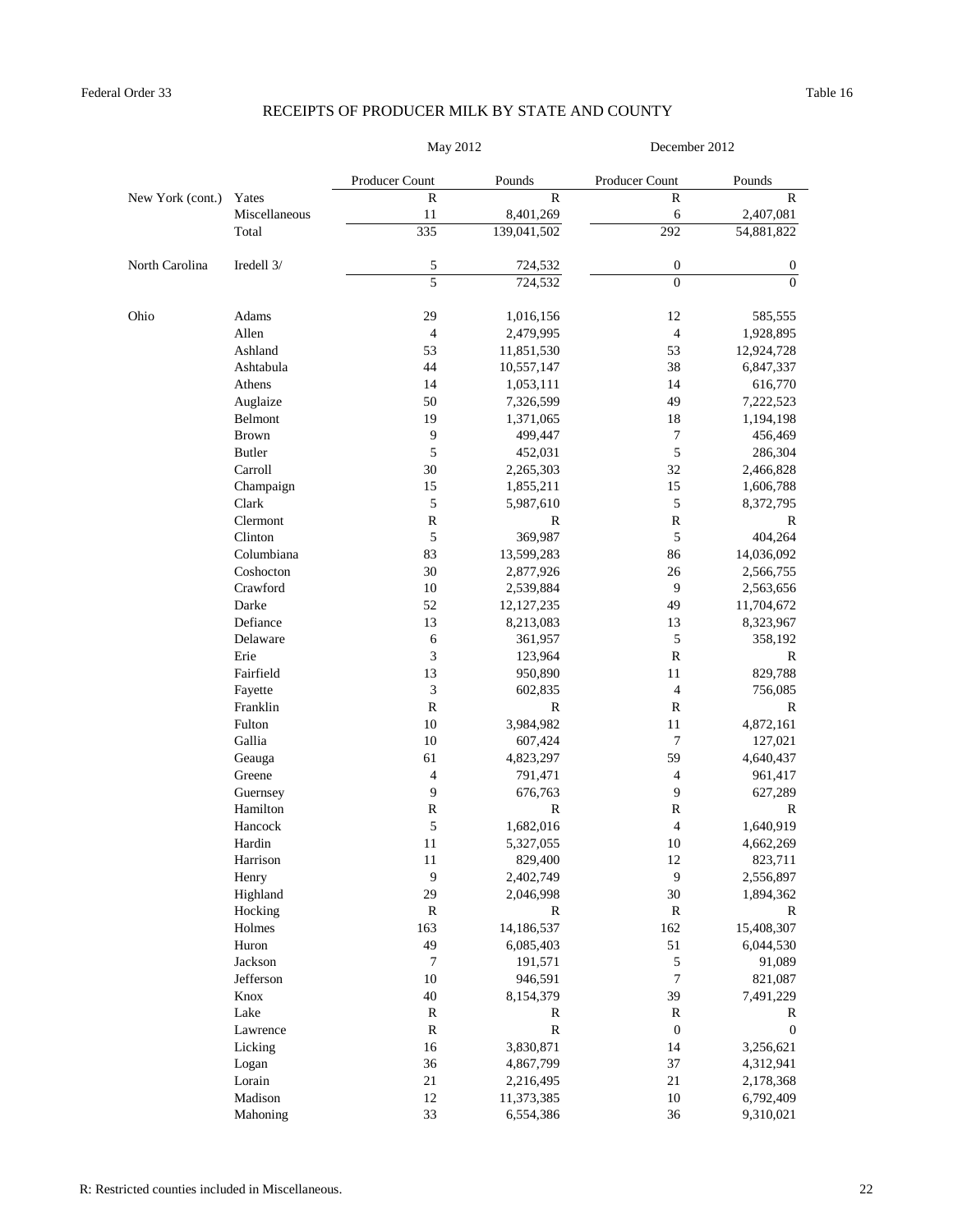|                  |               | May 2012       |              | December 2012    |                  |
|------------------|---------------|----------------|--------------|------------------|------------------|
|                  |               | Producer Count | Pounds       | Producer Count   | Pounds           |
| New York (cont.) | Yates         | $\mathbb{R}$   | $\mathbb{R}$ | $\mathbb{R}$     | $\mathbb R$      |
|                  | Miscellaneous | 11             | 8,401,269    | 6                | 2,407,081        |
|                  | Total         | 335            | 139,041,502  | 292              | 54,881,822       |
| North Carolina   | Iredell 3/    | 5              | 724,532      | $\boldsymbol{0}$ | $\boldsymbol{0}$ |
|                  |               | 5              | 724,532      | $\mathbf{0}$     | $\Omega$         |
| Ohio             | Adams         | 29             | 1,016,156    | 12               | 585,555          |
|                  | Allen         | $\overline{4}$ | 2,479,995    | $\overline{4}$   | 1,928,895        |
|                  | Ashland       | 53             | 11,851,530   | 53               | 12,924,728       |
|                  | Ashtabula     | 44             | 10,557,147   | 38               | 6,847,337        |
|                  | Athens        | 14             | 1,053,111    | 14               | 616,770          |
|                  | Auglaize      | 50             | 7,326,599    | 49               | 7,222,523        |
|                  | Belmont       | 19             | 1,371,065    | 18               | 1,194,198        |
|                  | <b>Brown</b>  | 9              | 499,447      | $\tau$           | 456,469          |
|                  | <b>Butler</b> | 5              | 452,031      | 5                | 286,304          |
|                  | Carroll       | 30             | 2,265,303    | 32               | 2,466,828        |
|                  | Champaign     | 15             | 1,855,211    | 15               | 1,606,788        |
|                  | Clark         | 5              | 5,987,610    | 5                | 8,372,795        |
|                  | Clermont      | ${\mathbb R}$  | $\mathbf R$  | $\mathbb R$      | $\mathbb{R}$     |
|                  | Clinton       | 5              | 369,987      | 5                | 404,264          |
|                  | Columbiana    | 83             | 13,599,283   | 86               | 14,036,092       |
|                  | Coshocton     | 30             | 2,877,926    | 26               | 2,566,755        |
|                  | Crawford      | 10             | 2,539,884    | 9                | 2,563,656        |
|                  | Darke         | 52             | 12, 127, 235 | 49               | 11,704,672       |
|                  | Defiance      | 13             | 8,213,083    | 13               | 8,323,967        |
|                  | Delaware      | 6              | 361,957      | 5                | 358,192          |
|                  | Erie          | 3              | 123,964      | $\mathbf R$      | R                |
|                  | Fairfield     | 13             | 950,890      | 11               | 829,788          |
|                  | Fayette       | $\mathfrak{Z}$ | 602,835      | $\overline{4}$   | 756,085          |
|                  | Franklin      | $\mathbb{R}$   | $\mathbb{R}$ | $\mathbb{R}$     | R                |
|                  | Fulton        | 10             | 3,984,982    | 11               | 4,872,161        |
|                  | Gallia        | 10             | 607,424      | 7                | 127,021          |
|                  | Geauga        | 61             | 4,823,297    | 59               | 4,640,437        |
|                  | Greene        | 4              | 791,471      | 4                | 961,417          |
|                  | Guernsey      | 9              | 676,763      | 9                | 627,289          |
|                  | Hamilton      | $\mathbb R$    | $\mathbb R$  | $\mathbb R$      | R                |
|                  | Hancock       | 5              | 1,682,016    | $\overline{4}$   | 1,640,919        |
|                  | Hardin        | 11             | 5,327,055    | 10               | 4,662,269        |
|                  | Harrison      | 11             | 829,400      | 12               | 823,711          |
|                  | Henry         | $\overline{9}$ | 2,402,749    | $\overline{9}$   | 2,556,897        |
|                  | Highland      | 29             | 2,046,998    | $30\,$           | 1,894,362        |
|                  | Hocking       | $\bf R$        | R            | $\mathbb R$      | R                |
|                  | Holmes        | 163            | 14,186,537   | 162              | 15,408,307       |
|                  | Huron         | 49             | 6,085,403    | 51               | 6,044,530        |
|                  | Jackson       | $\tau$         | 191,571      | $\sqrt{5}$       | 91,089           |
|                  | Jefferson     | 10             | 946,591      | $\tau$           | 821,087          |
|                  | Knox          | 40             | 8,154,379    | 39               | 7,491,229        |
|                  | Lake          | $\mathbb R$    | R            | $\mathbb R$      | R                |
|                  | Lawrence      | ${\bf R}$      | $\mathbb R$  | $\boldsymbol{0}$ | $\boldsymbol{0}$ |
|                  | Licking       | 16             | 3,830,871    | 14               | 3,256,621        |
|                  | Logan         | 36             | 4,867,799    | 37               | 4,312,941        |
|                  | Lorain        | $21\,$         | 2,216,495    | 21               | 2,178,368        |
|                  | Madison       | 12             | 11,373,385   | $10\,$           | 6,792,409        |
|                  | Mahoning      | 33             | 6,554,386    | 36               | 9,310,021        |
|                  |               |                |              |                  |                  |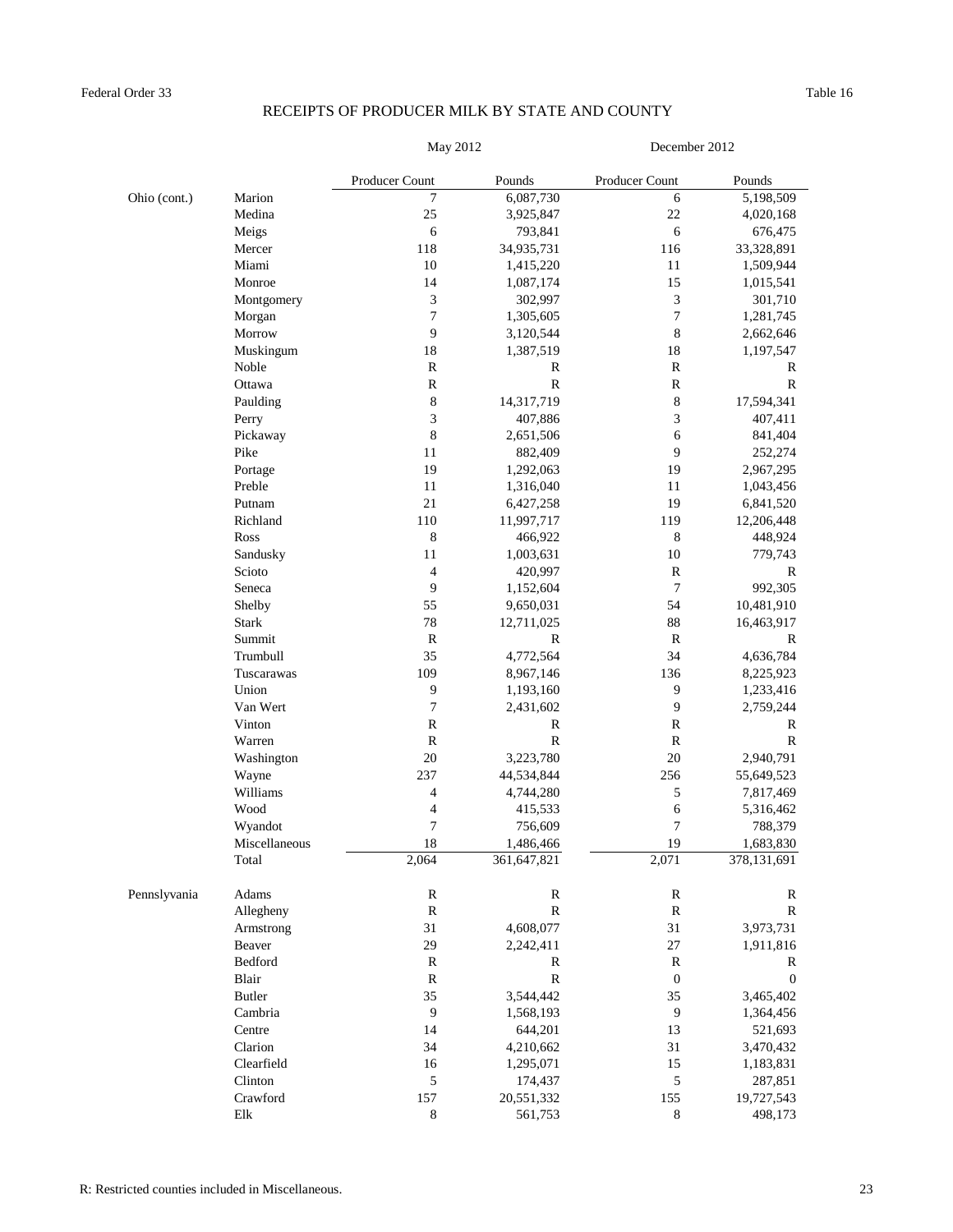| May 201: |  |  |
|----------|--|--|

May 2012 December 2012

|              |               | Producer Count   | Pounds       | Producer Count   | Pounds           |
|--------------|---------------|------------------|--------------|------------------|------------------|
| Ohio (cont.) | Marion        | 7                | 6,087,730    | 6                | 5,198,509        |
|              | Medina        | 25               | 3,925,847    | 22               | 4,020,168        |
|              | Meigs         | 6                | 793,841      | 6                | 676,475          |
|              | Mercer        | 118              | 34,935,731   | 116              | 33,328,891       |
|              | Miami         | 10               | 1,415,220    | 11               | 1,509,944        |
|              | Monroe        | 14               | 1,087,174    | 15               | 1,015,541        |
|              | Montgomery    | 3                | 302,997      | 3                | 301,710          |
|              | Morgan        | $\boldsymbol{7}$ | 1,305,605    | $\boldsymbol{7}$ | 1,281,745        |
|              | Morrow        | 9                | 3,120,544    | 8                | 2,662,646        |
|              | Muskingum     | 18               | 1,387,519    | 18               | 1,197,547        |
|              | Noble         | ${\mathbb R}$    | $\mathbb{R}$ | $\mathbf R$      | $\mathbb{R}$     |
|              | Ottawa        | ${\mathbb R}$    | $\mathbb{R}$ | $\mathbf R$      | $\mathbb{R}$     |
|              | Paulding      | 8                | 14,317,719   | 8                | 17,594,341       |
|              | Perry         | 3                | 407,886      | 3                | 407,411          |
|              | Pickaway      | $\,$ 8 $\,$      | 2,651,506    | 6                | 841,404          |
|              | Pike          | 11               | 882,409      | 9                | 252,274          |
|              | Portage       | 19               | 1,292,063    | 19               | 2,967,295        |
|              | Preble        | 11               | 1,316,040    | 11               | 1,043,456        |
|              | Putnam        | 21               | 6,427,258    | 19               | 6,841,520        |
|              | Richland      | 110              | 11,997,717   | 119              | 12,206,448       |
|              | Ross          | 8                | 466,922      | 8                | 448,924          |
|              | Sandusky      | 11               | 1,003,631    | 10               | 779,743          |
|              | Scioto        | 4                | 420,997      | $\mathbf R$      | $\mathbb{R}$     |
|              | Seneca        | 9                | 1,152,604    | 7                | 992,305          |
|              | Shelby        | 55               | 9,650,031    | 54               | 10,481,910       |
|              | <b>Stark</b>  | 78               | 12,711,025   | 88               | 16,463,917       |
|              | Summit        | ${\mathbb R}$    | $\mathbb{R}$ | $\mathbb{R}$     | $\mathbb{R}$     |
|              | Trumbull      | 35               | 4,772,564    | 34               | 4,636,784        |
|              | Tuscarawas    | 109              | 8,967,146    | 136              | 8,225,923        |
|              | Union         | 9                | 1,193,160    | 9                | 1,233,416        |
|              | Van Wert      | 7                | 2,431,602    | 9                | 2,759,244        |
|              | Vinton        | $\mathbb{R}$     | $\mathbb{R}$ | R                | $\mathbb{R}$     |
|              | Warren        | $\mathbb R$      | ${\bf R}$    | $\mathbf R$      | $\mathbb R$      |
|              | Washington    | 20               | 3,223,780    | 20               | 2,940,791        |
|              | Wayne         | 237              | 44,534,844   | 256              | 55,649,523       |
|              | Williams      | 4                | 4,744,280    | 5                | 7,817,469        |
|              | Wood          | 4                | 415,533      | 6                | 5,316,462        |
|              |               | 7                | 756,609      | 7                | 788,379          |
|              | Wyandot       | 18               |              | 19               |                  |
|              | Miscellaneous |                  | 1,486,466    |                  | 1,683,830        |
|              | Total         | 2,064            | 361,647,821  | 2,071            | 378,131,691      |
| Pennslyvania | Adams         | ${\mathbb R}$    | ${\bf R}$    | $\mathbf R$      | $\mathbb{R}$     |
|              | Allegheny     | ${\bf R}$        | ${\bf R}$    | ${\bf R}$        | $\mathbb R$      |
|              | Armstrong     | 31               | 4,608,077    | 31               | 3,973,731        |
|              | Beaver        | 29               | 2,242,411    | 27               | 1,911,816        |
|              | Bedford       | ${\mathbb R}$    | $\mathbb{R}$ | $\mathbf R$      | R                |
|              | Blair         | ${\mathbb R}$    | ${\bf R}$    | $\boldsymbol{0}$ | $\boldsymbol{0}$ |
|              | <b>Butler</b> | 35               | 3,544,442    | 35               | 3,465,402        |
|              | Cambria       | $\boldsymbol{9}$ | 1,568,193    | $\boldsymbol{9}$ | 1,364,456        |
|              | Centre        | 14               | 644,201      | 13               | 521,693          |
|              | Clarion       | 34               | 4,210,662    | 31               | 3,470,432        |
|              | Clearfield    | 16               | 1,295,071    | 15               | 1,183,831        |
|              | Clinton       | 5                | 174,437      | $\mathfrak s$    | 287,851          |
|              | Crawford      | 157              | 20,551,332   | 155              | 19,727,543       |
|              | ${\rm E}$     | $\,8\,$          | 561,753      | $\,8\,$          | 498,173          |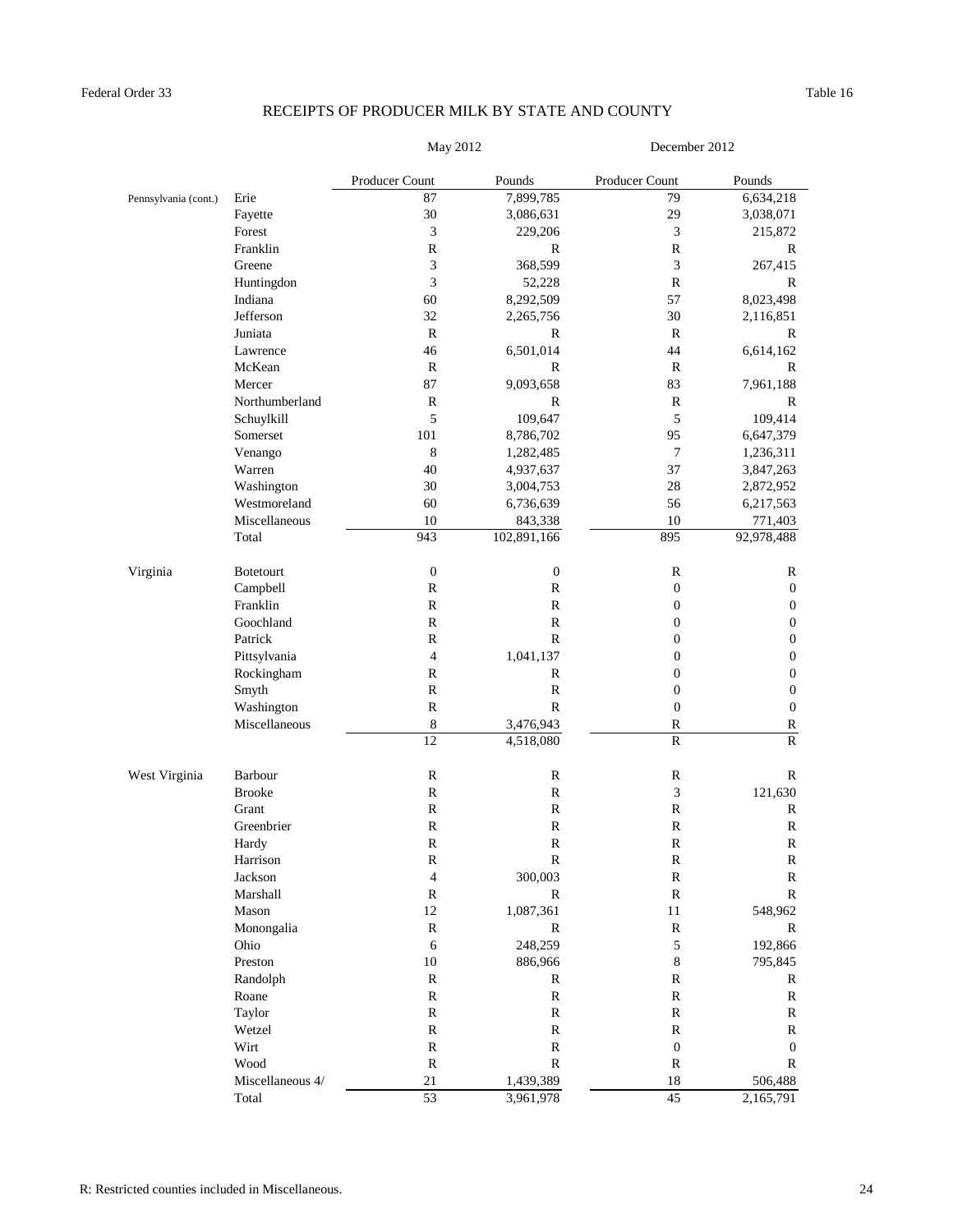| May 2011 |  |
|----------|--|
|          |  |

ay 2012 December 2012

|                      |                  | Producer Count          | Pounds           | Producer Count   | Pounds           |
|----------------------|------------------|-------------------------|------------------|------------------|------------------|
| Pennsylvania (cont.) | Erie             | 87                      | 7,899,785        | 79               | 6,634,218        |
|                      | Fayette          | 30                      | 3,086,631        | 29               | 3,038,071        |
|                      | Forest           | 3                       | 229,206          | 3                | 215,872          |
|                      | Franklin         | ${\mathbb R}$           | $\mathbb{R}$     | R                | $\mathbb R$      |
|                      | Greene           | 3                       | 368,599          | 3                | 267,415          |
|                      | Huntingdon       | 3                       | 52,228           | $\mathbb{R}$     | $\mathbb{R}$     |
|                      | Indiana          | 60                      | 8,292,509        | 57               | 8,023,498        |
|                      | Jefferson        | 32                      | 2,265,756        | 30               | 2,116,851        |
|                      | Juniata          | $\mathbb{R}$            | R                | R                | R                |
|                      | Lawrence         | 46                      | 6,501,014        | 44               | 6,614,162        |
|                      | McKean           | $\mathbb{R}$            | $\mathbb{R}$     | $\mathbb{R}$     | R                |
|                      | Mercer           | 87                      | 9,093,658        | 83               | 7,961,188        |
|                      | Northumberland   | $\mathbb R$             | R                | $\mathbb{R}$     | $\mathbb{R}$     |
|                      | Schuylkill       | 5                       | 109,647          | 5                | 109,414          |
|                      | Somerset         | 101                     | 8,786,702        | 95               | 6,647,379        |
|                      | Venango          | $\,8\,$                 | 1,282,485        | $\boldsymbol{7}$ | 1,236,311        |
|                      | Warren           | 40                      | 4,937,637        | 37               | 3,847,263        |
|                      | Washington       | 30                      | 3,004,753        | 28               | 2,872,952        |
|                      | Westmoreland     | 60                      | 6,736,639        | 56               | 6,217,563        |
|                      | Miscellaneous    | 10                      | 843,338          | 10               | 771,403          |
|                      | Total            | 943                     | 102,891,166      | 895              | 92,978,488       |
|                      |                  |                         |                  |                  |                  |
| Virginia             | <b>Botetourt</b> | $\boldsymbol{0}$        | $\boldsymbol{0}$ | R                | R                |
|                      | Campbell         | $\mathbf R$             | $\mathbb{R}$     | $\boldsymbol{0}$ | $\boldsymbol{0}$ |
|                      | Franklin         | $\mathbf R$             | $\mathbb{R}$     | $\boldsymbol{0}$ | $\boldsymbol{0}$ |
|                      | Goochland        | $\mathbb{R}$            | $\mathbb{R}$     | 0                | $\boldsymbol{0}$ |
|                      | Patrick          | $\mathbb{R}$            | $\mathbb{R}$     | $\boldsymbol{0}$ | 0                |
|                      | Pittsylvania     | $\overline{\mathbf{4}}$ | 1,041,137        | 0                | 0                |
|                      | Rockingham       | ${\mathbb R}$           | R                | 0                | $\boldsymbol{0}$ |
| Smyth                |                  | $\mathbf R$             | $\mathbb{R}$     | $\boldsymbol{0}$ | $\boldsymbol{0}$ |
|                      | Washington       | $\mathbb{R}$            | R                | $\boldsymbol{0}$ | $\boldsymbol{0}$ |
|                      | Miscellaneous    | $8\,$                   | 3,476,943        | R                | ${\bf R}$        |
|                      |                  | 12                      | 4,518,080        | ${\bf R}$        | ${\bf R}$        |
| West Virginia        | Barbour          | $\mathbf R$             | $\mathbf R$      | R                | R                |
|                      | <b>Brooke</b>    | ${\bf R}$               | $\mathbf R$      | 3                | 121,630          |
|                      | Grant            | $\mathbb{R}$            | $\mathbb{R}$     | $\mathbf R$      | R                |
|                      | Greenbrier       | ${\mathbb R}$           | $\mathbb{R}$     | ${\bf R}$        | $\mathbf R$      |
|                      | Hardy            | $\mathbb{R}$            | ${\bf R}$        | $\mathbb{R}$     | R                |
|                      | Harrison         | ${\mathbb R}$           | ${\bf R}$        | ${\bf R}$        | R                |
|                      | Jackson          | 4                       | 300,003          | $\mathbb R$      | ${\bf R}$        |
|                      | Marshall         | ${\bf R}$               | $\mathbb{R}$     | ${\bf R}$        | $\mathbf R$      |
|                      | Mason            | $12\,$                  | 1,087,361        | $11\,$           | 548,962          |
|                      | Monongalia       | ${\bf R}$               | $\mathbf R$      | ${\bf R}$        | ${\bf R}$        |
|                      | Ohio             | $\sqrt{6}$              | 248,259          | 5                | 192,866          |
|                      | Preston          | $10\,$                  | 886,966          | $\,8\,$          | 795,845          |
|                      | Randolph         | ${\bf R}$               | $\mathbb{R}$     | R                | $\mathbb R$      |
|                      | Roane            | ${\bf R}$               | ${\bf R}$        | ${\bf R}$        | $\mathbb R$      |
|                      | Taylor           | ${\bf R}$               | $\mathbf R$      | ${\bf R}$        | $\mathbb R$      |
|                      | Wetzel           | ${\bf R}$               | $\mathbf R$      | $\mathbf R$      | R                |
|                      |                  |                         |                  |                  |                  |
|                      | Wirt             | ${\bf R}$               | $\mathbb{R}$     | $\boldsymbol{0}$ | $\boldsymbol{0}$ |
|                      | Wood             | ${\bf R}$               | $\mathbb{R}$     | $\mathbb R$      | $\mathbb{R}$     |
|                      | Miscellaneous 4/ | 21                      | 1,439,389        | 18               | 506,488          |
|                      | Total            | 53                      | 3,961,978        | 45               | 2,165,791        |